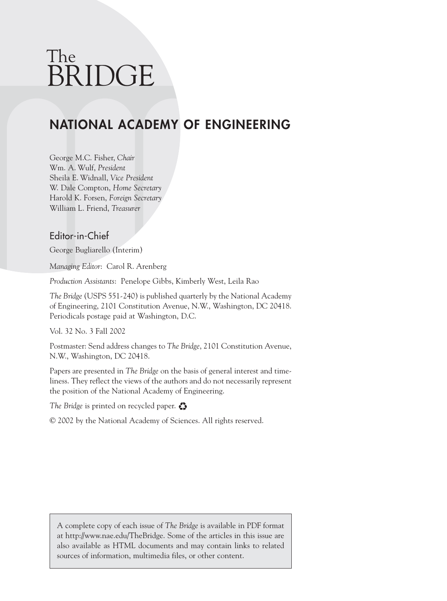## The BRIDGE

## **NATIONAL ACADEMY OF ENGINEERING**

George M.C. Fisher, *Chair* Wm. A. Wulf, *President* Sheila E. Widnall, *Vice President* W. Dale Compton, *Home Secretary* Harold K. Forsen, *Foreign Secretary* William L. Friend, *Treasurer*

### Editor-in-Chief

George Bugliarello (Interim)

*Managing Editor*: Carol R. Arenberg

*Production Assistants*: Penelope Gibbs, Kimberly West, Leila Rao

*The Bridge* (USPS 551-240) is published quarterly by the National Academy of Engineering, 2101 Constitution Avenue, N.W., Washington, DC 20418. Periodicals postage paid at Washington, D.C.

Vol. 32 No. 3 Fall 2002

Postmaster: Send address changes to *The Bridge*, 2101 Constitution Avenue, N.W., Washington, DC 20418.

Papers are presented in *The Bridge* on the basis of general interest and timeliness. They reflect the views of the authors and do not necessarily represent the position of the National Academy of Engineering.

*The Bridge* is printed on recycled paper.

© 2002 by the National Academy of Sciences. All rights reserved.

A complete copy of each issue of *The Bridge* is available in PDF format at http://www.nae.edu/TheBridge. Some of the articles in this issue are also available as HTML documents and may contain links to related sources of information, multimedia files, or other content.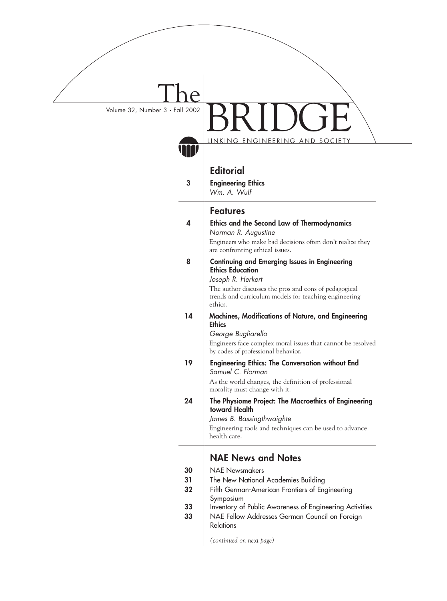| Volume 32, Number 3 · Fall 2002 |                                                                                                                |
|---------------------------------|----------------------------------------------------------------------------------------------------------------|
|                                 |                                                                                                                |
|                                 | LINKING ENGINEERING AND SOCIETY                                                                                |
|                                 |                                                                                                                |
|                                 |                                                                                                                |
|                                 | <b>Editorial</b>                                                                                               |
| 3                               |                                                                                                                |
|                                 | <b>Engineering Ethics</b><br>Wm. A. Wulf                                                                       |
|                                 |                                                                                                                |
|                                 | <b>Features</b>                                                                                                |
| 4                               | Ethics and the Second Law of Thermodynamics                                                                    |
|                                 | Norman R. Augustine                                                                                            |
|                                 | Engineers who make bad decisions often don't realize they                                                      |
|                                 | are confronting ethical issues.                                                                                |
| 8                               | <b>Continuing and Emerging Issues in Engineering</b>                                                           |
|                                 | <b>Ethics Education</b>                                                                                        |
|                                 | Joseph R. Herkert                                                                                              |
|                                 | The author discusses the pros and cons of pedagogical<br>trends and curriculum models for teaching engineering |
|                                 | ethics.                                                                                                        |
| 14                              | Machines, Modifications of Nature, and Engineering                                                             |
|                                 | <b>Ethics</b>                                                                                                  |
|                                 | George Bugliarello                                                                                             |
|                                 | Engineers face complex moral issues that cannot be resolved<br>by codes of professional behavior.              |
| 19                              | <b>Engineering Ethics: The Conversation without End</b>                                                        |
|                                 | Samuel C. Florman                                                                                              |
|                                 | As the world changes, the definition of professional                                                           |
|                                 | morality must change with it.                                                                                  |
| 24                              | The Physiome Project: The Macroethics of Engineering                                                           |
|                                 | toward Health                                                                                                  |
|                                 | James B. Bassingthwaighte                                                                                      |
|                                 | Engineering tools and techniques can be used to advance<br>health care.                                        |
|                                 | <b>NAE News and Notes</b>                                                                                      |
| 30                              | <b>NAE Newsmakers</b>                                                                                          |
| 31                              | The New National Academies Building                                                                            |
| 32                              | Fifth German-American Frontiers of Engineering                                                                 |
|                                 | Symposium                                                                                                      |
| 33                              | Inventory of Public Awareness of Engineering Activities                                                        |
| 33                              | NAE Fellow Addresses German Council on Foreign                                                                 |
|                                 | Relations                                                                                                      |
|                                 | (continued on next page)                                                                                       |
|                                 |                                                                                                                |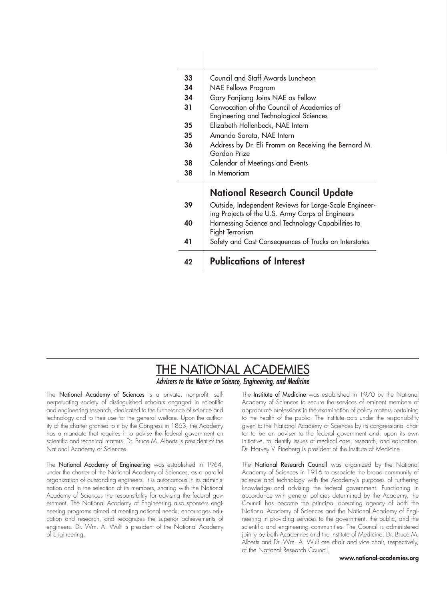| 33 | <b>Council and Staff Awards Luncheon</b>                                                                   |  |  |  |  |  |
|----|------------------------------------------------------------------------------------------------------------|--|--|--|--|--|
| 34 | NAE Fellows Program                                                                                        |  |  |  |  |  |
| 34 | Gary Fanjiang Joins NAE as Fellow                                                                          |  |  |  |  |  |
| 31 | Convocation of the Council of Academies of                                                                 |  |  |  |  |  |
|    | Engineering and Technological Sciences                                                                     |  |  |  |  |  |
| 35 | Elizabeth Hollenbeck, NAE Intern                                                                           |  |  |  |  |  |
| 35 | Amanda Sarata, NAE Intern                                                                                  |  |  |  |  |  |
| 36 | Address by Dr. Eli Fromm on Receiving the Bernard M.                                                       |  |  |  |  |  |
|    | Gordon Prize                                                                                               |  |  |  |  |  |
| 38 | Calendar of Meetings and Events                                                                            |  |  |  |  |  |
| 38 | In Memoriam                                                                                                |  |  |  |  |  |
|    | <b>National Research Council Update</b>                                                                    |  |  |  |  |  |
| 39 | Outside, Independent Reviews for Large-Scale Engineer-<br>ing Projects of the U.S. Army Corps of Engineers |  |  |  |  |  |
| 40 | Harnessing Science and Technology Capabilities to<br>Fight Terrorism                                       |  |  |  |  |  |
| 41 | Safety and Cost Consequences of Trucks on Interstates                                                      |  |  |  |  |  |
| 42 | <b>Publications of Interest</b>                                                                            |  |  |  |  |  |

### **THE NATIONAL ACADEMIES** Advisers to the Nation on Science, Engineering, and Medicine

 $\mathbf{I}$ 

The National Academy of Sciences is a private, nonprofit, selfperpetuating society of distinguished scholars engaged in scientific and engineering research, dedicated to the furtherance of science and technology and to their use for the general welfare. Upon the authority of the charter granted to it by the Congress in 1863, the Academy has a mandate that requires it to advise the federal government on scientific and technical matters. Dr. Bruce M. Alberts is president of the National Academy of Sciences.

The National Academy of Engineering was established in 1964, under the charter of the National Academy of Sciences, as a parallel organization of outstanding engineers. It is autonomous in its administration and in the selection of its members, sharing with the National Academy of Sciences the responsibility for advising the federal government. The National Academy of Engineering also sponsors engineering programs aimed at meeting national needs, encourages education and research, and recognizes the superior achievements of engineers. Dr. Wm. A. Wulf is president of the National Academy of Engineering.

The Institute of Medicine was established in 1970 by the National Academy of Sciences to secure the services of eminent members of appropriate professions in the examination of policy matters pertaining to the health of the public. The Institute acts under the responsibility given to the National Academy of Sciences by its congressional charter to be an adviser to the federal government and, upon its own initiative, to identify issues of medical care, research, and education. Dr. Harvey V. Fineberg is president of the Institute of Medicine.

The National Research Council was organized by the National Academy of Sciences in 1916 to associate the broad community of science and technology with the Academy's purposes of furthering knowledge and advising the federal government. Functioning in accordance with general policies determined by the Academy, the Council has become the principal operating agency of both the National Academy of Sciences and the National Academy of Engineering in providing services to the government, the public, and the scientific and engineering communities. The Council is administered jointly by both Academies and the Institute of Medicine. Dr. Bruce M. Alberts and Dr. Wm. A. Wulf are chair and vice chair, respectively, of the National Research Council.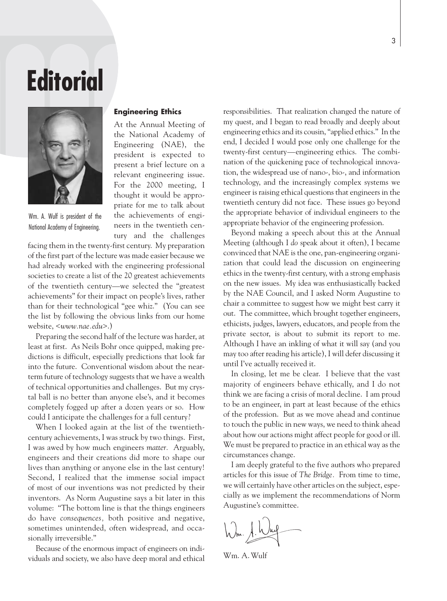## **Editorial**



Wm. A. Wulf is president of the National Academy of Engineering.

### **Engineering Ethics**

At the Annual Meeting of the National Academy of Engineering (NAE), the president is expected to present a brief lecture on a relevant engineering issue. For the 2000 meeting, I thought it would be appropriate for me to talk about the achievements of engineers in the twentieth century and the challenges

facing them in the twenty-first century. My preparation of the first part of the lecture was made easier because we had already worked with the engineering professional societies to create a list of the 20 greatest achievements of the twentieth century—we selected the "greatest achievements" for their impact on people's lives, rather than for their technological "gee whiz." (You can see the list by following the obvious links from our home website, <*www.nae.edu*>.)

Preparing the second half of the lecture was harder, at least at first. As Neils Bohr once quipped, making predictions is difficult, especially predictions that look far into the future. Conventional wisdom about the nearterm future of technology suggests that we have a wealth of technical opportunities and challenges. But my crystal ball is no better than anyone else's, and it becomes completely fogged up after a dozen years or so. How could I anticipate the challenges for a full century?

When I looked again at the list of the twentiethcentury achievements, I was struck by two things. First, I was awed by how much engineers *matter.* Arguably, engineers and their creations did more to shape our lives than anything or anyone else in the last century! Second, I realized that the immense social impact of most of our inventions was not predicted by their inventors. As Norm Augustine says a bit later in this volume: "The bottom line is that the things engineers do have *consequences,* both positive and negative, sometimes unintended, often widespread, and occasionally irreversible."

Because of the enormous impact of engineers on individuals and society, we also have deep moral and ethical

responsibilities. That realization changed the nature of my quest, and I began to read broadly and deeply about engineering ethics and its cousin, "applied ethics." In the end, I decided I would pose only one challenge for the twenty-first century—engineering ethics. The combination of the quickening pace of technological innovation, the widespread use of nano-, bio-, and information technology, and the increasingly complex systems we engineer is raising ethical questions that engineers in the twentieth century did not face. These issues go beyond the appropriate behavior of individual engineers to the appropriate behavior of the engineering profession.

Beyond making a speech about this at the Annual Meeting (although I *do* speak about it often), I became convinced that NAE is the one, pan-engineering organization that could lead the discussion on engineering ethics in the twenty-first century, with a strong emphasis on the new issues. My idea was enthusiastically backed by the NAE Council, and I asked Norm Augustine to chair a committee to suggest how we might best carry it out. The committee, which brought together engineers, ethicists, judges, lawyers, educators, and people from the private sector, is about to submit its report to me. Although I have an inkling of what it will say (and you may too after reading his article), I will defer discussing it until I've actually received it.

In closing, let me be clear. I believe that the vast majority of engineers behave ethically, and I do not think we are facing a crisis of moral decline. I am proud to be an engineer, in part at least because of the ethics of the profession. But as we move ahead and continue to touch the public in new ways, we need to think ahead about how our actions might affect people for good or ill. We must be prepared to practice in an ethical way as the circumstances change.

I am deeply grateful to the five authors who prepared articles for this issue of *The Bridge.* From time to time, we will certainly have other articles on the subject, especially as we implement the recommendations of Norm Augustine's committee.

Wm. A. Way

Wm. A. Wulf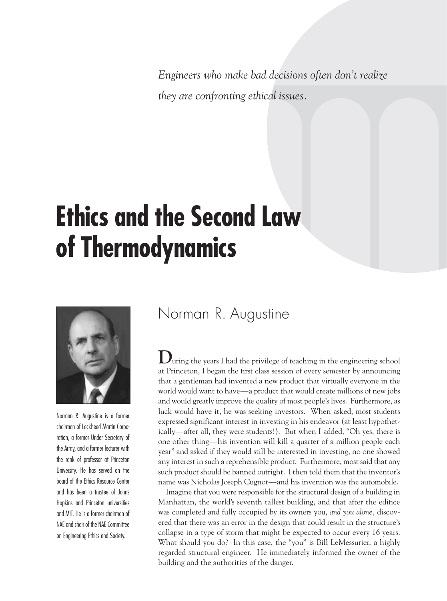*Engineers who make bad decisions often don't realize they are confronting ethical issues.*

## **Ethics and the Second Law of Thermodynamics**



Norman R. Augustine is a former chairman of Lockheed Martin Corporation, a former Under Secretary of the Army, and a former lecturer with the rank of professor at Princeton University. He has served on the board of the Ethics Resource Center and has been a trustee of Johns Hopkins and Princeton universities and MIT. He is a former chairman of NAE and chair of the NAE Committee on Engineering Ethics and Society.

## Norman R. Augustine

**D**uring the years I had the privilege of teaching in the engineering school at Princeton, I began the first class session of every semester by announcing that a gentleman had invented a new product that virtually everyone in the world would want to have—a product that would create millions of new jobs and would greatly improve the quality of most people's lives. Furthermore, as luck would have it, he was seeking investors. When asked, most students expressed significant interest in investing in his endeavor (at least hypothetically—after all, they were students!). But when I added, "Oh yes, there is one other thing—his invention will kill a quarter of a million people each year" and asked if they would still be interested in investing, no one showed any interest in such a reprehensible product. Furthermore, most said that any such product should be banned outright. I then told them that the inventor's name was Nicholas Joseph Cugnot—and his invention was the automobile.

Imagine that you were responsible for the structural design of a building in Manhattan, the world's seventh tallest building, and that after the edifice was completed and fully occupied by its owners you, *and you alone,* discovered that there was an error in the design that could result in the structure's collapse in a type of storm that might be expected to occur every 16 years. What should you do? In this case, the "you" is Bill LeMessurier, a highly regarded structural engineer. He immediately informed the owner of the building and the authorities of the danger.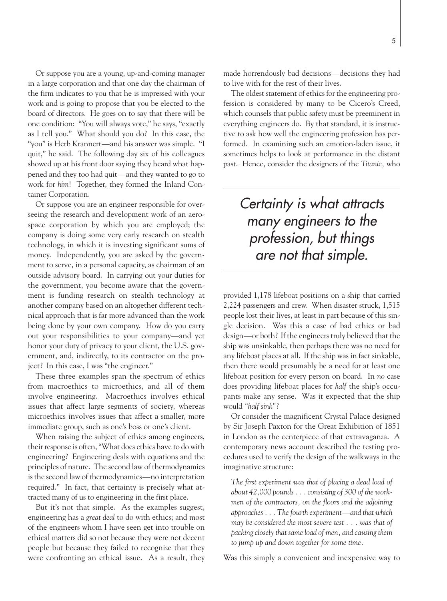Or suppose you are a young, up-and-coming manager in a large corporation and that one day the chairman of the firm indicates to you that he is impressed with your work and is going to propose that you be elected to the board of directors. He goes on to say that there will be one condition: "You will always vote," he says, "exactly as I tell you." What should you do? In this case, the "you" is Herb Krannert—and his answer was simple. "I quit," he said. The following day six of his colleagues showed up at his front door saying they heard what happened and they too had quit—and they wanted to go to work for *him*! Together, they formed the Inland Container Corporation.

Or suppose you are an engineer responsible for overseeing the research and development work of an aerospace corporation by which you are employed; the company is doing some very early research on stealth technology, in which it is investing significant sums of money. Independently, you are asked by the government to serve, in a personal capacity, as chairman of an outside advisory board. In carrying out your duties for the government, you become aware that the government is funding research on stealth technology at another company based on an altogether different technical approach that is far more advanced than the work being done by your own company. How do you carry out your responsibilities to your company—and yet honor your duty of privacy to your client, the U.S. government, and, indirectly, to its contractor on the project? In this case, I was "the engineer."

These three examples span the spectrum of ethics from macroethics to microethics, and all of them involve engineering. Macroethics involves ethical issues that affect large segments of society, whereas microethics involves issues that affect a smaller, more immediate group, such as one's boss or one's client.

When raising the subject of ethics among engineers, their response is often, "What does ethics have to do with engineering? Engineering deals with equations and the principles of nature. The second law of thermodynamics is the second law of thermodynamics—no interpretation required." In fact, that certainty is precisely what attracted many of us to engineering in the first place.

But it's not that simple. As the examples suggest, engineering has a *great deal* to do with ethics; and most of the engineers whom I have seen get into trouble on ethical matters did so not because they were not decent people but because they failed to recognize that they were confronting an ethical issue. As a result, they made horrendously bad decisions—decisions they had to live with for the rest of their lives.

The oldest statement of ethics for the engineering profession is considered by many to be Cicero's Creed, which counsels that public safety must be preeminent in everything engineers do. By that standard, it is instructive to ask how well the engineering profession has performed. In examining such an emotion-laden issue, it sometimes helps to look at performance in the distant past. Hence, consider the designers of the *Titanic,* who

## *Certainty is what attracts many engineers to the profession, but things are not that simple.*

provided 1,178 lifeboat positions on a ship that carried 2,224 passengers and crew. When disaster struck, 1,515 people lost their lives, at least in part because of this single decision. Was this a case of bad ethics or bad design—or both? If the engineers truly believed that the ship was unsinkable, then perhaps there was no need for any lifeboat places at all. If the ship was in fact sinkable, then there would presumably be a need for at least one lifeboat position for every person on board. In *no* case does providing lifeboat places for *half* the ship's occupants make any sense. Was it expected that the ship would *"half sink"*?

Or consider the magnificent Crystal Palace designed by Sir Joseph Paxton for the Great Exhibition of 1851 in London as the centerpiece of that extravaganza. A contemporary news account described the testing procedures used to verify the design of the walkways in the imaginative structure:

*The first experiment was that of placing a dead load of about 42,000 pounds . . . consisting of 300 of the workmen of the contractors, on the floors and the adjoining approaches . . . The fourth experiment—and that which may be considered the most severe test . . . was that of packing closely that same load of men, and causing them to jump up and down together for some time.*

Was this simply a convenient and inexpensive way to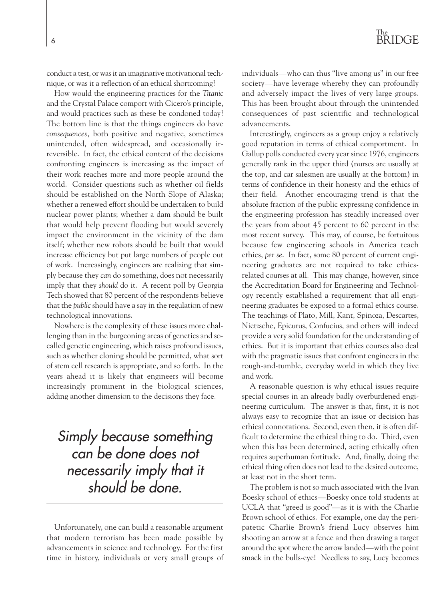conduct a test, or was it an imaginative motivational technique, or was it a reflection of an ethical shortcoming?

How would the engineering practices for the *Titanic* and the Crystal Palace comport with Cicero's principle, and would practices such as these be condoned today? The bottom line is that the things engineers do have *consequences,* both positive and negative, sometimes unintended, often widespread, and occasionally irreversible. In fact, the ethical content of the decisions confronting engineers is increasing as the impact of their work reaches more and more people around the world. Consider questions such as whether oil fields should be established on the North Slope of Alaska; whether a renewed effort should be undertaken to build nuclear power plants; whether a dam should be built that would help prevent flooding but would severely impact the environment in the vicinity of the dam itself; whether new robots should be built that would increase efficiency but put large numbers of people out of work. Increasingly, engineers are realizing that simply because they *can* do something, does not necessarily imply that they *should* do it. A recent poll by Georgia Tech showed that 80 percent of the respondents believe that the *public* should have a say in the regulation of new technological innovations.

Nowhere is the complexity of these issues more challenging than in the burgeoning areas of genetics and socalled genetic engineering, which raises profound issues, such as whether cloning should be permitted, what sort of stem cell research is appropriate, and so forth. In the years ahead it is likely that engineers will become increasingly prominent in the biological sciences, adding another dimension to the decisions they face.

*Simply because something can be done does not necessarily imply that it should be done.*

Unfortunately, one can build a reasonable argument that modern terrorism has been made possible by advancements in science and technology. For the first time in history, individuals or very small groups of individuals—who can thus "live among us" in our free society—have leverage whereby they can profoundly and adversely impact the lives of very large groups. This has been brought about through the unintended consequences of past scientific and technological advancements.

Interestingly, engineers as a group enjoy a relatively good reputation in terms of ethical comportment. In Gallup polls conducted every year since 1976, engineers generally rank in the upper third (nurses are usually at the top, and car salesmen are usually at the bottom) in terms of confidence in their honesty and the ethics of their field. Another encouraging trend is that the absolute fraction of the public expressing confidence in the engineering profession has steadily increased over the years from about 45 percent to 60 percent in the most recent survey. This may, of course, be fortuitous because few engineering schools in America teach ethics, *per se*. In fact, some 80 percent of current engineering graduates are not required to take ethicsrelated courses at all. This may change, however, since the Accreditation Board for Engineering and Technology recently established a requirement that all engineering graduates be exposed to a formal ethics course. The teachings of Plato, Mill, Kant, Spinoza, Descartes, Nietzsche, Epicurus, Confucius, and others will indeed provide a very solid foundation for the understanding of ethics. But it is important that ethics courses also deal with the pragmatic issues that confront engineers in the rough-and-tumble, everyday world in which they live and work.

A reasonable question is why ethical issues require special courses in an already badly overburdened engineering curriculum. The answer is that, first, it is not always easy to recognize that an issue or decision has ethical connotations. Second, even then, it is often difficult to determine the ethical thing to do. Third, even when this has been determined, acting ethically often requires superhuman fortitude. And, finally, doing the ethical thing often does not lead to the desired outcome, at least not in the short term.

The problem is not so much associated with the Ivan Boesky school of ethics—Boesky once told students at UCLA that "greed is good"—as it is with the Charlie Brown school of ethics. For example, one day the peripatetic Charlie Brown's friend Lucy observes him shooting an arrow at a fence and then drawing a target around the spot where the arrow landed—with the point smack in the bulls-eye! Needless to say, Lucy becomes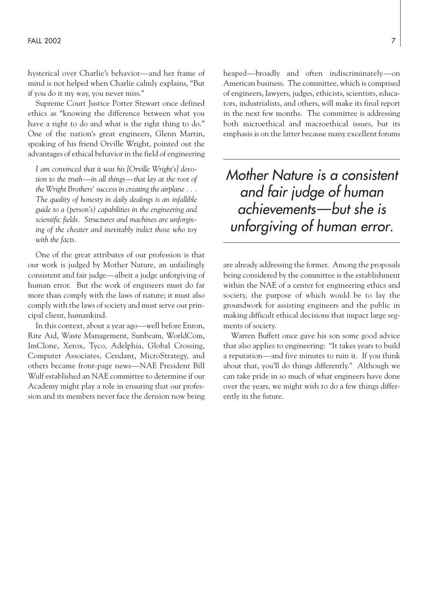hysterical over Charlie's behavior—and her frame of mind is not helped when Charlie calmly explains, "But if you do it my way, you never miss."

Supreme Court Justice Potter Stewart once defined ethics as "knowing the difference between what you have a right to do and what is the right thing to do." One of the nation's great engineers, Glenn Martin, speaking of his friend Orville Wright, pointed out the advantages of ethical behavior in the field of engineering

*I am convinced that it was his [Orville Wright's] devotion to the truth—in all things—that lay at the root of the Wright Brothers' success in creating the airplane . . . The quality of honesty in daily dealings is an infallible guide to a (person's) capabilities in the engineering and scientific fields. Structures and machines are unforgiving of the cheater and inevitably indict those who toy with the facts.*

One of the great attributes of our profession is that our work is judged by Mother Nature, an unfailingly consistent and fair judge—albeit a judge unforgiving of human error. But the work of engineers must do far more than comply with the laws of nature; it must also comply with the laws of society and must serve our principal client, humankind.

In this context, about a year ago—well before Enron, Rite Aid, Waste Management, Sunbeam, WorldCom, ImClone, Xerox, Tyco, Adelphia, Global Crossing, Computer Associates, Cendant, MicroStrategy, and others became front-page news—NAE President Bill Wulf established an NAE committee to determine if our Academy might play a role in ensuring that our profession and its members never face the derision now being heaped—broadly and often indiscriminately—on American business. The committee, which is comprised of engineers, lawyers, judges, ethicists, scientists, educators, industrialists, and others, will make its final report in the next few months. The committee is addressing both microethical and macroethical issues, but its emphasis is on the latter because many excellent forums

## *Mother Nature is a consistent and fair judge of human achievements—but she is unforgiving of human error.*

are already addressing the former. Among the proposals being considered by the committee is the establishment within the NAE of a center for engineering ethics and society, the purpose of which would be to lay the groundwork for assisting engineers and the public in making difficult ethical decisions that impact large segments of society.

Warren Buffett once gave his son some good advice that also applies to engineering: "It takes years to build a reputation—and five minutes to ruin it. If you think about that, you'll do things differently." Although we can take pride in so much of what engineers have done over the years, we might wish to do a few things differently in the future.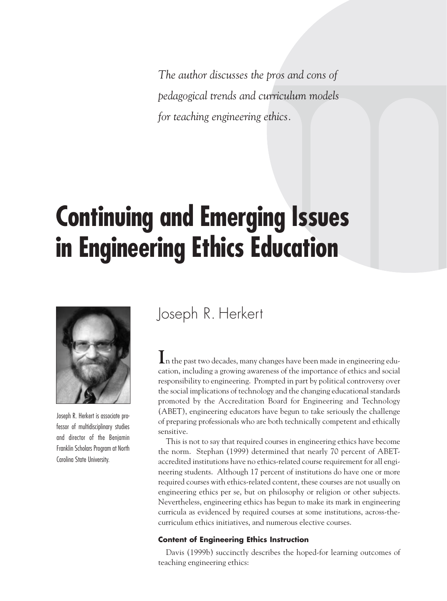*The author discusses the pros and cons of pedagogical trends and curriculum models for teaching engineering ethics.*

# **Continuing and Emerging Issues in Engineering Ethics Education**



Joseph R. Herkert is associate professor of multidisciplinary studies and director of the Benjamin Franklin Scholars Program at North Carolina State University.

## Joseph R. Herkert

In the past two decades, many changes have been made in engineering education, including a growing awareness of the importance of ethics and social responsibility to engineering. Prompted in part by political controversy over the social implications of technology and the changing educational standards promoted by the Accreditation Board for Engineering and Technology (ABET), engineering educators have begun to take seriously the challenge of preparing professionals who are both technically competent and ethically sensitive.

This is not to say that required courses in engineering ethics have become the norm. Stephan (1999) determined that nearly 70 percent of ABETaccredited institutions have no ethics-related course requirement for all engineering students. Although 17 percent of institutions do have one or more required courses with ethics-related content, these courses are not usually on engineering ethics per se, but on philosophy or religion or other subjects. Nevertheless, engineering ethics has begun to make its mark in engineering curricula as evidenced by required courses at some institutions, across-thecurriculum ethics initiatives, and numerous elective courses.

### **Content of Engineering Ethics Instruction**

Davis (1999b) succinctly describes the hoped-for learning outcomes of teaching engineering ethics: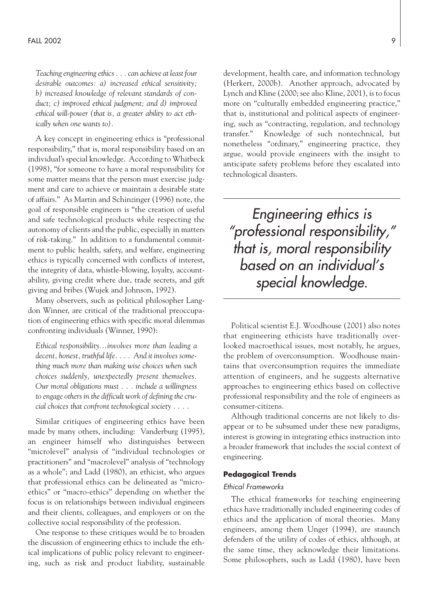*Teaching engineering ethics . . . can achieve at least four desirable outcomes: a) increased ethical sensitivity; b) increased knowledge of relevant standards of conduct; c) improved ethical judgment; and d) improved ethical will-power (that is, a greater ability to act ethically when one wants to).*

A key concept in engineering ethics is "professional responsibility," that is, moral responsibility based on an individual's special knowledge. According to Whitbeck (1998), "for someone to have a moral responsibility for some matter means that the person must exercise judgment and care to achieve or maintain a desirable state of affairs." As Martin and Schinzinger (1996) note, the goal of responsible engineers is "the creation of useful and safe technological products while respecting the autonomy of clients and the public, especially in matters of risk-taking." In addition to a fundamental commitment to public health, safety, and welfare, engineering ethics is typically concerned with conflicts of interest, the integrity of data, whistle-blowing, loyalty, accountability, giving credit where due, trade secrets, and gift giving and bribes (Wujek and Johnson, 1992).

Many observers, such as political philosopher Langdon Winner, are critical of the traditional preoccupation of engineering ethics with specific moral dilemmas confronting individuals (Winner, 1990):

*Ethical responsibility...involves more than leading a decent, honest, truthful life. . . . And it involves something much more than making wise choices when such choices suddenly, unexpectedly present themselves. Our moral obligations must . . . include a willingness to engage others in the difficult work of defining the crucial choices that confront technological society . . . .* 

Similar critiques of engineering ethics have been made by many others, including: Vanderburg (1995), an engineer himself who distinguishes between "microlevel" analysis of "individual technologies or practitioners" and "macrolevel" analysis of "technology as a whole"; and Ladd (1980), an ethicist, who argues that professional ethics can be delineated as "microethics" or "macro-ethics" depending on whether the focus is on relationships between individual engineers and their clients, colleagues, and employers or on the collective social responsibility of the profession.

One response to these critiques would be to broaden the discussion of engineering ethics to include the ethical implications of public policy relevant to engineering, such as risk and product liability, sustainable development, health care, and information technology (Herkert, 2000b). Another approach, advocated by Lynch and Kline (2000; see also Kline, 2001), is to focus more on "culturally embedded engineering practice," that is, institutional and political aspects of engineering, such as "contracting, regulation, and technology transfer." Knowledge of such nontechnical, but nonetheless "ordinary," engineering practice, they argue, would provide engineers with the insight to anticipate safety problems before they escalated into technological disasters.

*Engineering ethics is "professional responsibility," that is, moral responsibility based on an individual's special knowledge.*

Political scientist E.J. Woodhouse (2001) also notes that engineering ethicists have traditionally overlooked macroethical issues, most notably, he argues, the problem of overconsumption. Woodhouse maintains that overconsumption requires the immediate attention of engineers, and he suggests alternative approaches to engineering ethics based on collective professional responsibility and the role of engineers as consumer-citizens.

Although traditional concerns are not likely to disappear or to be subsumed under these new paradigms, interest is growing in integrating ethics instruction into a broader framework that includes the social context of engineering.

#### **Pedagogical Trends**

### *Ethical Frameworks*

The ethical frameworks for teaching engineering ethics have traditionally included engineering codes of ethics and the application of moral theories. Many engineers, among them Unger (1994), are staunch defenders of the utility of codes of ethics, although, at the same time, they acknowledge their limitations. Some philosophers, such as Ladd (1980), have been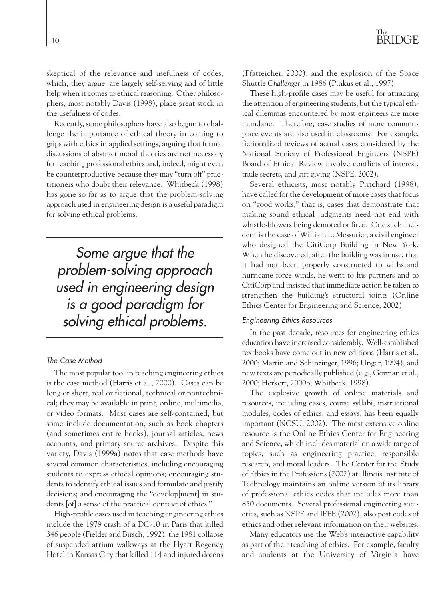skeptical of the relevance and usefulness of codes, which, they argue, are largely self-serving and of little help when it comes to ethical reasoning. Other philosophers, most notably Davis (1998), place great stock in the usefulness of codes.

Recently, some philosophers have also begun to challenge the importance of ethical theory in coming to grips with ethics in applied settings, arguing that formal discussions of abstract moral theories are not necessary for teaching professional ethics and, indeed, might even be counterproductive because they may "turn off" practitioners who doubt their relevance. Whitbeck (1998) has gone so far as to argue that the problem-solving approach used in engineering design is a useful paradigm for solving ethical problems.

*Some argue that the problem-solving approach used in engineering design is a good paradigm for solving ethical problems.*

### *The Case Method*

The most popular tool in teaching engineering ethics is the case method (Harris et al., 2000). Cases can be long or short, real or fictional, technical or nontechnical; they may be available in print, online, multimedia, or video formats. Most cases are self-contained, but some include documentation, such as book chapters (and sometimes entire books), journal articles, news accounts, and primary source archives. Despite this variety, Davis (1999a) notes that case methods have several common characteristics, including encouraging students to express ethical opinions; encouraging students to identify ethical issues and formulate and justify decisions; and encouraging the "develop[ment] in students [of] a sense of the practical context of ethics."

High-profile cases used in teaching engineering ethics include the 1979 crash of a DC-10 in Paris that killed 346 people (Fielder and Birsch, 1992), the 1981 collapse of suspended atrium walkways at the Hyatt Regency Hotel in Kansas City that killed 114 and injured dozens

(Pfatteicher, 2000), and the explosion of the Space Shuttle *Challenger* in 1986 (Pinkus et al., 1997).

These high-profile cases may be useful for attracting the attention of engineering students, but the typical ethical dilemmas encountered by most engineers are more mundane. Therefore, case studies of more commonplace events are also used in classrooms. For example, fictionalized reviews of actual cases considered by the National Society of Professional Engineers (NSPE) Board of Ethical Review involve conflicts of interest, trade secrets, and gift giving (NSPE, 2002).

Several ethicists, most notably Pritchard (1998), have called for the development of more cases that focus on "good works," that is, cases that demonstrate that making sound ethical judgments need not end with whistle-blowers being demoted or fired. One such incident is the case of William LeMessurier, a civil engineer who designed the CitiCorp Building in New York. When he discovered, after the building was in use, that it had not been properly constructed to withstand hurricane-force winds, he went to his partners and to CitiCorp and insisted that immediate action be taken to strengthen the building's structural joints (Online Ethics Center for Engineering and Science, 2002).

### *Engineering Ethics Resources*

In the past decade, resources for engineering ethics education have increased considerably. Well-established textbooks have come out in new editions (Harris et al., 2000; Martin and Schinzinger, 1996; Unger, 1994), and new texts are periodically published (e.g., Gorman et al., 2000; Herkert, 2000b; Whitbeck, 1998).

The explosive growth of online materials and resources, including cases, course syllabi, instructional modules, codes of ethics, and essays, has been equally important (NCSU, 2002). The most extensive online resource is the Online Ethics Center for Engineering and Science, which includes material on a wide range of topics, such as engineering practice, responsible research, and moral leaders. The Center for the Study of Ethics in the Professions (2002) at Illinois Institute of Technology maintains an online version of its library of professional ethics codes that includes more than 850 documents. Several professional engineering societies, such as NSPE and IEEE (2002), also post codes of ethics and other relevant information on their websites.

Many educators use the Web's interactive capability as part of their teaching of ethics. For example, faculty and students at the University of Virginia have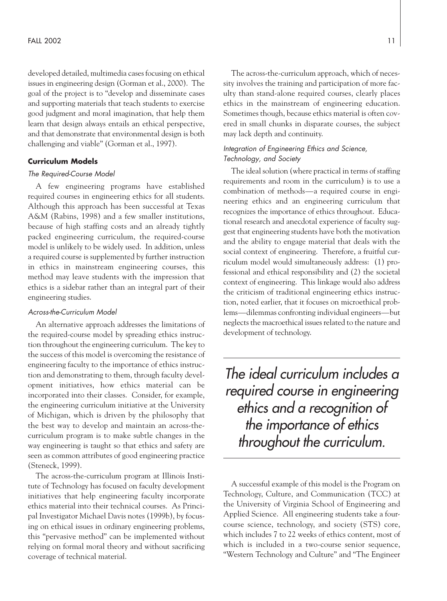developed detailed, multimedia cases focusing on ethical issues in engineering design (Gorman et al., 2000). The goal of the project is to "develop and disseminate cases and supporting materials that teach students to exercise good judgment and moral imagination, that help them learn that design always entails an ethical perspective, and that demonstrate that environmental design is both challenging and viable" (Gorman et al., 1997).

### **Curriculum Models**

#### *The Required-Course Model*

A few engineering programs have established required courses in engineering ethics for all students. Although this approach has been successful at Texas A&M (Rabins, 1998) and a few smaller institutions, because of high staffing costs and an already tightly packed engineering curriculum, the required-course model is unlikely to be widely used. In addition, unless a required course is supplemented by further instruction in ethics in mainstream engineering courses, this method may leave students with the impression that ethics is a sidebar rather than an integral part of their engineering studies.

### *Across-the-Curriculum Model*

An alternative approach addresses the limitations of the required-course model by spreading ethics instruction throughout the engineering curriculum. The key to the success of this model is overcoming the resistance of engineering faculty to the importance of ethics instruction and demonstrating to them, through faculty development initiatives, how ethics material can be incorporated into their classes. Consider, for example, the engineering curriculum initiative at the University of Michigan, which is driven by the philosophy that the best way to develop and maintain an across-thecurriculum program is to make subtle changes in the way engineering is taught so that ethics and safety are seen as common attributes of good engineering practice (Steneck, 1999).

The across-the-curriculum program at Illinois Institute of Technology has focused on faculty development initiatives that help engineering faculty incorporate ethics material into their technical courses. As Principal Investigator Michael Davis notes (1999b), by focusing on ethical issues in ordinary engineering problems, this "pervasive method" can be implemented without relying on formal moral theory and without sacrificing coverage of technical material.

The across-the-curriculum approach, which of necessity involves the training and participation of more faculty than stand-alone required courses, clearly places ethics in the mainstream of engineering education. Sometimes though, because ethics material is often covered in small chunks in disparate courses, the subject may lack depth and continuity.

### *Integration of Engineering Ethics and Science, Technology, and Society*

The ideal solution (where practical in terms of staffing requirements and room in the curriculum) is to use a combination of methods—a required course in engineering ethics and an engineering curriculum that recognizes the importance of ethics throughout. Educational research and anecdotal experience of faculty suggest that engineering students have both the motivation and the ability to engage material that deals with the social context of engineering. Therefore, a fruitful curriculum model would simultaneously address: (1) professional and ethical responsibility and (2) the societal context of engineering. This linkage would also address the criticism of traditional engineering ethics instruction, noted earlier, that it focuses on microethical problems—dilemmas confronting individual engineers—but neglects the macroethical issues related to the nature and development of technology.

*The ideal curriculum includes a required course in engineering ethics and a recognition of the importance of ethics throughout the curriculum.*

A successful example of this model is the Program on Technology, Culture, and Communication (TCC) at the University of Virginia School of Engineering and Applied Science. All engineering students take a fourcourse science, technology, and society (STS) core, which includes 7 to 22 weeks of ethics content, most of which is included in a two-course senior sequence, "Western Technology and Culture" and "The Engineer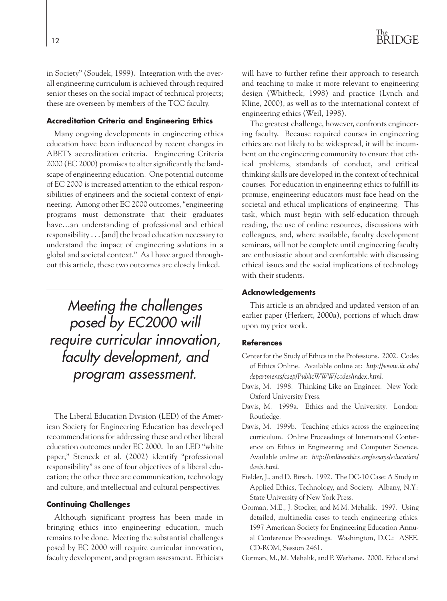in Society" (Soudek, 1999). Integration with the overall engineering curriculum is achieved through required senior theses on the social impact of technical projects;

### **Accreditation Criteria and Engineering Ethics**

these are overseen by members of the TCC faculty.

Many ongoing developments in engineering ethics education have been influenced by recent changes in ABET's accreditation criteria. Engineering Criteria 2000 (EC 2000) promises to alter significantly the landscape of engineering education. One potential outcome of EC 2000 is increased attention to the ethical responsibilities of engineers and the societal context of engineering. Among other EC 2000 outcomes, "engineering programs must demonstrate that their graduates have…an understanding of professional and ethical responsibility . . . [and] the broad education necessary to understand the impact of engineering solutions in a global and societal context." As I have argued throughout this article, these two outcomes are closely linked.

*Meeting the challenges posed by EC2000 will require curricular innovation, faculty development, and program assessment.*

The Liberal Education Division (LED) of the American Society for Engineering Education has developed recommendations for addressing these and other liberal education outcomes under EC 2000. In an LED "white paper," Steneck et al. (2002) identify "professional responsibility" as one of four objectives of a liberal education; the other three are communication, technology and culture, and intellectual and cultural perspectives.

### **Continuing Challenges**

Although significant progress has been made in bringing ethics into engineering education, much remains to be done. Meeting the substantial challenges posed by EC 2000 will require curricular innovation, faculty development, and program assessment. Ethicists The BRIDGE

will have to further refine their approach to research and teaching to make it more relevant to engineering design (Whitbeck, 1998) and practice (Lynch and Kline, 2000), as well as to the international context of engineering ethics (Weil, 1998).

The greatest challenge, however, confronts engineering faculty. Because required courses in engineering ethics are not likely to be widespread, it will be incumbent on the engineering community to ensure that ethical problems, standards of conduct, and critical thinking skills are developed in the context of technical courses. For education in engineering ethics to fulfill its promise, engineering educators must face head on the societal and ethical implications of engineering. This task, which must begin with self-education through reading, the use of online resources, discussions with colleagues, and, where available, faculty development seminars, will not be complete until engineering faculty are enthusiastic about and comfortable with discussing ethical issues and the social implications of technology with their students.

### **Acknowledgements**

This article is an abridged and updated version of an earlier paper (Herkert, 2000a), portions of which draw upon my prior work.

### **References**

- Center for the Study of Ethics in the Professions. 2002. Codes of Ethics Online. Available online at: *http://www.iit.edu/ departments/csep/PublicWWW/codes/index.html.*
- Davis, M. 1998. Thinking Like an Engineer. New York: Oxford University Press.
- Davis, M. 1999a. Ethics and the University. London: Routledge.
- Davis, M. 1999b. Teaching ethics across the engineering curriculum. Online Proceedings of International Conference on Ethics in Engineering and Computer Science. Available online at: *http://onlineethics.org/essays/education/ davis.html.*
- Fielder, J., and D. Birsch. 1992. The DC-10 Case: A Study in Applied Ethics, Technology, and Society. Albany, N.Y.: State University of New York Press.
- Gorman, M.E., J. Stocker, and M.M. Mehalik. 1997. Using detailed, multimedia cases to teach engineering ethics. 1997 American Society for Engineering Education Annual Conference Proceedings. Washington, D.C.: ASEE. CD-ROM, Session 2461.
- Gorman, M., M. Mehalik, and P. Werhane. 2000. Ethical and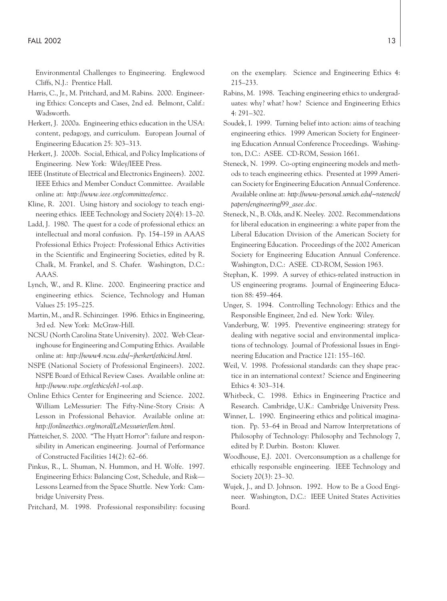Environmental Challenges to Engineering. Englewood Cliffs, N.J.: Prentice Hall.

- Harris, C., Jr., M. Pritchard, and M. Rabins. 2000. Engineering Ethics: Concepts and Cases, 2nd ed. Belmont, Calif.: Wadsworth.
- Herkert, J. 2000a. Engineering ethics education in the USA: content, pedagogy, and curriculum. European Journal of Engineering Education 25: 303–313.
- Herkert, J. 2000b. Social, Ethical, and Policy Implications of Engineering. New York: Wiley/IEEE Press.
- IEEE (Institute of Electrical and Electronics Engineers). 2002. IEEE Ethics and Member Conduct Committee. Available online at: *http://www.ieee.org/committee/emcc.*
- Kline, R. 2001. Using history and sociology to teach engineering ethics. IEEE Technology and Society 20(4): 13–20.
- Ladd, J. 1980. The quest for a code of professional ethics: an intellectual and moral confusion. Pp. 154–159 in AAAS Professional Ethics Project: Professional Ethics Activities in the Scientific and Engineering Societies, edited by R. Chalk, M. Frankel, and S. Chafer. Washington, D.C.: AAAS.
- Lynch, W., and R. Kline. 2000. Engineering practice and engineering ethics. Science, Technology and Human Values 25: 195–225.
- Martin, M., and R. Schinzinger. 1996. Ethics in Engineering, 3rd ed. New York: McGraw-Hill.
- NCSU (North Carolina State University). 2002. Web Clearinghouse for Engineering and Computing Ethics. Available online at: *http://www4.ncsu.edu/~jherkert/ethicind.html.*
- NSPE (National Society of Professional Engineers). 2002. NSPE Board of Ethical Review Cases. Available online at: *http://www.nspe.org/ethics/eh1-vol.asp.*
- Online Ethics Center for Engineering and Science. 2002. William LeMessurier: The Fifty-Nine-Story Crisis: A Lesson in Professional Behavior. Available online at: *http://onlineethics.org/moral/LeMessurier/lem.html.*
- Pfatteicher, S. 2000. "The Hyatt Horror": failure and responsibility in American engineering. Journal of Performance of Constructed Facilities 14(2): 62–66.
- Pinkus, R., L. Shuman, N. Hummon, and H. Wolfe. 1997. Engineering Ethics: Balancing Cost, Schedule, and Risk— Lessons Learned from the Space Shuttle. New York: Cambridge University Press.
- Pritchard, M. 1998. Professional responsibility: focusing

on the exemplary. Science and Engineering Ethics 4: 215–233.

- Rabins, M. 1998. Teaching engineering ethics to undergraduates: why? what? how? Science and Engineering Ethics 4: 291–302.
- Soudek, I. 1999. Turning belief into action: aims of teaching engineering ethics. 1999 American Society for Engineering Education Annual Conference Proceedings. Washington, D.C.: ASEE. CD-ROM, Session 1661.
- Steneck, N. 1999. Co-opting engineering models and methods to teach engineering ethics. Presented at 1999 American Society for Engineering Education Annual Conference. Available online at: *http://www-personal.umich.edu/~nsteneck/ papers/engineering/99\_asee.doc.*
- Steneck, N., B. Olds, and K. Neeley. 2002. Recommendations for liberal education in engineering: a white paper from the Liberal Education Division of the American Society for Engineering Education. Proceedings of the 2002 American Society for Engineering Education Annual Conference. Washington, D.C.: ASEE. CD-ROM, Session 1963.
- Stephan, K. 1999. A survey of ethics-related instruction in US engineering programs. Journal of Engineering Education 88: 459–464.
- Unger, S. 1994. Controlling Technology: Ethics and the Responsible Engineer, 2nd ed. New York: Wiley.
- Vanderburg, W. 1995. Preventive engineering: strategy for dealing with negative social and environmental implications of technology. Journal of Professional Issues in Engineering Education and Practice 121: 155–160.
- Weil, V. 1998. Professional standards: can they shape practice in an international context? Science and Engineering Ethics 4: 303–314.
- Whitbeck, C. 1998. Ethics in Engineering Practice and Research. Cambridge, U.K.: Cambridge University Press.
- Winner, L. 1990. Engineering ethics and political imagination. Pp. 53–64 in Broad and Narrow Interpretations of Philosophy of Technology: Philosophy and Technology 7, edited by P. Durbin. Boston: Kluwer.
- Woodhouse, E.J. 2001. Overconsumption as a challenge for ethically responsible engineering. IEEE Technology and Society 20(3): 23–30.
- Wujek, J., and D. Johnson. 1992. How to Be a Good Engineer. Washington, D.C.: IEEE United States Activities Board.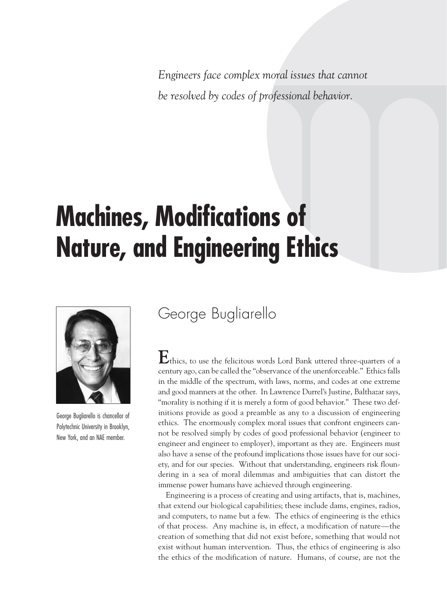*Engineers face complex moral issues that cannot be resolved by codes of professional behavior.*

# **Machines, Modifications of Nature, and Engineering Ethics**



George Bugliarello is chancellor of Polytechnic University in Brooklyn, New York, and an NAE member.

## George Bugliarello

**E**thics, to use the felicitous words Lord Bank uttered three-quarters of a century ago, can be called the "observance of the unenforceable." Ethics falls in the middle of the spectrum, with laws, norms, and codes at one extreme and good manners at the other. In Lawrence Durrel's Justine, Balthazar says, "morality is nothing if it is merely a form of good behavior." These two definitions provide as good a preamble as any to a discussion of engineering ethics. The enormously complex moral issues that confront engineers cannot be resolved simply by codes of good professional behavior (engineer to engineer and engineer to employer), important as they are. Engineers must also have a sense of the profound implications those issues have for our society, and for our species. Without that understanding, engineers risk floundering in a sea of moral dilemmas and ambiguities that can distort the immense power humans have achieved through engineering.

Engineering is a process of creating and using artifacts, that is, machines, that extend our biological capabilities; these include dams, engines, radios, and computers, to name but a few. The ethics of engineering is the ethics of that process. Any machine is, in effect, a modification of nature—the creation of something that did not exist before, something that would not exist without human intervention. Thus, the ethics of engineering is also the ethics of the modification of nature. Humans, of course, are not the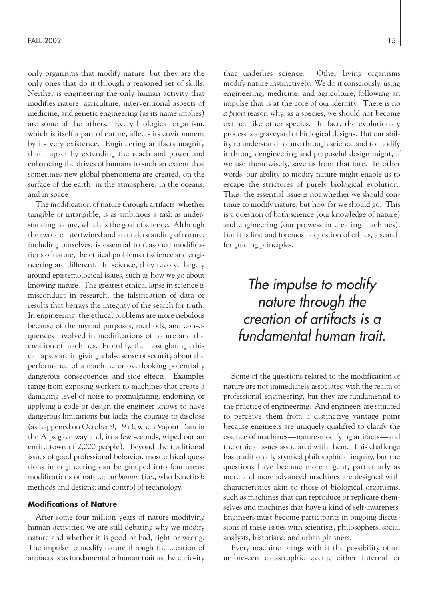only organisms that modify nature, but they are the only ones that do it through a reasoned set of skills. Neither is engineering the only human activity that modifies nature; agriculture, interventional aspects of medicine, and genetic engineering (as its name implies) are some of the others. Every biological organism, which is itself a part of nature, affects its environment by its very existence. Engineering artifacts magnify that impact by extending the reach and power and enhancing the drives of humans to such an extent that sometimes new global phenomena are created, on the surface of the earth, in the atmosphere, in the oceans, and in space.

The modification of nature through artifacts, whether tangible or intangible, is as ambitious a task as understanding nature, which is the goal of science. Although the two are intertwined and an understanding of nature, including ourselves, is essential to reasoned modifications of nature, the ethical problems of science and engineering are different. In science, they revolve largely around epistemological issues, such as how we go about knowing nature. The greatest ethical lapse in science is misconduct in research, the falsification of data or results that betrays the integrity of the search for truth. In engineering, the ethical problems are more nebulous because of the myriad purposes, methods, and consequences involved in modifications of nature and the creation of machines. Probably, the most glaring ethical lapses are in giving a false sense of security about the performance of a machine or overlooking potentially dangerous consequences and side effects. Examples range from exposing workers to machines that create a damaging level of noise to promulgating, endorsing, or applying a code or design the engineer knows to have dangerous limitations but lacks the courage to disclose (as happened on October 9, 1953, when Vajont Dam in the Alps gave way and, in a few seconds, wiped out an entire town of 2,000 people). Beyond the traditional issues of good professional behavior, most ethical questions in engineering can be grouped into four areas: modifications of nature; *cui bonum* (i.e., who benefits); methods and designs; and control of technology.

### **Modifications of Nature**

After some four million years of nature-modifying human activities, we are still debating why we modify nature and whether it is good or bad, right or wrong. The impulse to modify nature through the creation of artifacts is as fundamental a human trait as the curiosity that underlies science. Other living organisms modify nature instinctively. We do it consciously, using engineering, medicine, and agriculture, following an impulse that is at the core of our identity. There is no *a priori* reason why, as a species, we should not become extinct like other species. In fact, the evolutionary process is a graveyard of biological designs. But our ability to understand nature through science and to modify it through engineering and purposeful design might, if we use them wisely, save us from that fate. In other words, our ability to modify nature might enable us to escape the strictures of purely biological evolution. Thus, the essential issue is not whether we should continue to modify nature, but how far we should go. This is a question of both science (our knowledge of nature) and engineering (our prowess in creating machines). But it is first and foremost a question of ethics, a search for guiding principles.

## *The impulse to modify nature through the creation of artifacts is a fundamental human trait.*

Some of the questions related to the modification of nature are not immediately associated with the realm of professional engineering, but they are fundamental to the practice of engineering. And engineers are situated to perceive them from a distinctive vantage point because engineers are uniquely qualified to clarify the essence of machines—nature-modifying artifacts—and the ethical issues associated with them. This challenge has traditionally stymied philosophical inquiry, but the questions have become more urgent, particularly as more and more advanced machines are designed with characteristics akin to those of biological organisms, such as machines that can reproduce or replicate themselves and machines that have a kind of self-awareness. Engineers must become participants in ongoing discussions of these issues with scientists, philosophers, social analysts, historians, and urban planners.

Every machine brings with it the possibility of an unforeseen catastrophic event, either internal or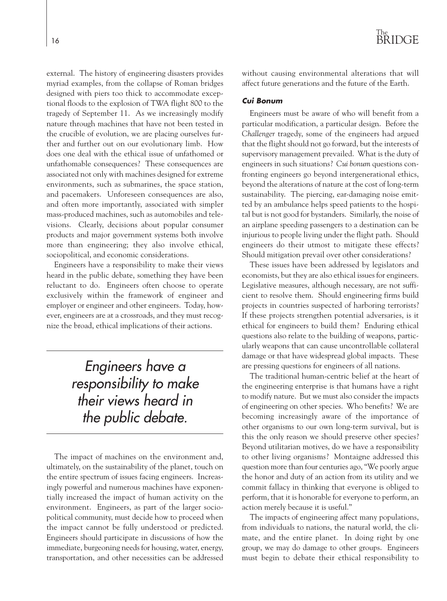external. The history of engineering disasters provides myriad examples, from the collapse of Roman bridges designed with piers too thick to accommodate exceptional floods to the explosion of TWA flight 800 to the tragedy of September 11. As we increasingly modify nature through machines that have not been tested in the crucible of evolution, we are placing ourselves further and further out on our evolutionary limb. How does one deal with the ethical issue of unfathomed or unfathomable consequences? These consequences are associated not only with machines designed for extreme environments, such as submarines, the space station, and pacemakers. Unforeseen consequences are also, and often more importantly, associated with simpler mass-produced machines, such as automobiles and televisions. Clearly, decisions about popular consumer products and major government systems both involve more than engineering; they also involve ethical, sociopolitical, and economic considerations.

Engineers have a responsibility to make their views heard in the public debate, something they have been reluctant to do. Engineers often choose to operate exclusively within the framework of engineer and employer or engineer and other engineers. Today, however, engineers are at a crossroads, and they must recognize the broad, ethical implications of their actions.

> *Engineers have a responsibility to make their views heard in the public debate.*

The impact of machines on the environment and, ultimately, on the sustainability of the planet, touch on the entire spectrum of issues facing engineers. Increasingly powerful and numerous machines have exponentially increased the impact of human activity on the environment. Engineers, as part of the larger sociopolitical community, must decide how to proceed when the impact cannot be fully understood or predicted. Engineers should participate in discussions of how the immediate, burgeoning needs for housing, water, energy, transportation, and other necessities can be addressed

without causing environmental alterations that will affect future generations and the future of the Earth.

### *Cui Bonum*

Engineers must be aware of who will benefit from a particular modification, a particular design. Before the *Challenger* tragedy, some of the engineers had argued that the flight should not go forward, but the interests of supervisory management prevailed. What is the duty of engineers in such situations? *Cui bonum* questions confronting engineers go beyond intergenerational ethics, beyond the alterations of nature at the cost of long-term sustainability. The piercing, ear-damaging noise emitted by an ambulance helps speed patients to the hospital but is not good for bystanders. Similarly, the noise of an airplane speeding passengers to a destination can be injurious to people living under the flight path. Should engineers do their utmost to mitigate these effects? Should mitigation prevail over other considerations?

These issues have been addressed by legislators and economists, but they are also ethical issues for engineers. Legislative measures, although necessary, are not sufficient to resolve them. Should engineering firms build projects in countries suspected of harboring terrorists? If these projects strengthen potential adversaries, is it ethical for engineers to build them? Enduring ethical questions also relate to the building of weapons, particularly weapons that can cause uncontrollable collateral damage or that have widespread global impacts. These are pressing questions for engineers of all nations.

The traditional human-centric belief at the heart of the engineering enterprise is that humans have a right to modify nature. But we must also consider the impacts of engineering on other species. Who benefits? We are becoming increasingly aware of the importance of other organisms to our own long-term survival, but is this the only reason we should preserve other species? Beyond utilitarian motives, do we have a responsibility to other living organisms? Montaigne addressed this question more than four centuries ago, "We poorly argue the honor and duty of an action from its utility and we commit fallacy in thinking that everyone is obliged to perform, that it is honorable for everyone to perform, an action merely because it is useful."

The impacts of engineering affect many populations, from individuals to nations, the natural world, the climate, and the entire planet. In doing right by one group, we may do damage to other groups. Engineers must begin to debate their ethical responsibility to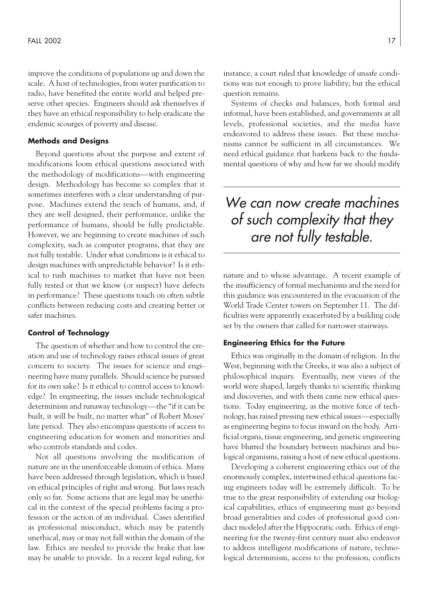improve the conditions of populations up and down the scale. A host of technologies, from water purification to radio, have benefited the entire world and helped preserve other species. Engineers should ask themselves if they have an ethical responsibility to help eradicate the endemic scourges of poverty and disease.

### **Methods and Designs**

Beyond questions about the purpose and extent of modifications loom ethical questions associated with the methodology of modifications—with engineering design. Methodology has become so complex that it sometimes interferes with a clear understanding of purpose. Machines extend the reach of humans, and, if they are well designed, their performance, unlike the performance of humans, should be fully predictable. However, we are beginning to create machines of such complexity, such as computer programs, that they are not fully testable. Under what conditions is it ethical to design machines with unpredictable behavior? Is it ethical to rush machines to market that have not been fully tested or that we know (or suspect) have defects in performance? These questions touch on often subtle conflicts between reducing costs and creating better or safer machines.

### **Control of Technology**

The question of whether and how to control the creation and use of technology raises ethical issues of great concern to society. The issues for science and engineering have many parallels. Should science be pursued for its own sake? Is it ethical to control access to knowledge? In engineering, the issues include technological determinism and runaway technology—the "if it can be built, it will be built, no matter what" of Robert Moses' late period. They also encompass questions of access to engineering education for women and minorities and who controls standards and codes.

Not all questions involving the modification of nature are in the unenforceable domain of ethics. Many have been addressed through legislation, which is based on ethical principles of right and wrong. But laws reach only so far. Some actions that are legal may be unethical in the context of the special problems facing a profession or the action of an individual. Cases identified as professional misconduct, which may be patently unethical, may or may not fall within the domain of the law. Ethics are needed to provide the brake that law may be unable to provide. In a recent legal ruling, for instance, a court ruled that knowledge of unsafe conditions was not enough to prove liability; but the ethical question remains.

Systems of checks and balances, both formal and informal, have been established, and governments at all levels, professional societies, and the media have endeavored to address these issues. But these mechanisms cannot be sufficient in all circumstances. We need ethical guidance that harkens back to the fundamental questions of why and how far we should modify

## *We can now create machines of such complexity that they are not fully testable.*

nature and to whose advantage. A recent example of the insufficiency of formal mechanisms and the need for this guidance was encountered in the evacuation of the World Trade Center towers on September 11. The difficulties were apparently exacerbated by a building code set by the owners that called for narrower stairways.

### **Engineering Ethics for the Future**

Ethics was originally in the domain of religion. In the West, beginning with the Greeks, it was also a subject of philosophical inquiry. Eventually, new views of the world were shaped, largely thanks to scientific thinking and discoveries, and with them came new ethical questions. Today engineering, as the motive force of technology, has raised pressing new ethical issues—especially as engineering begins to focus inward on the body. Artificial organs, tissue engineering, and genetic engineering have blurred the boundary between machines and biological organisms, raising a host of new ethical questions.

Developing a coherent engineering ethics out of the enormously complex, intertwined ethical questions facing engineers today will be extremely difficult. To be true to the great responsibility of extending our biological capabilities, ethics of engineering must go beyond broad generalities and codes of professional good conduct modeled after the Hippocratic oath. Ethics of engineering for the twenty-first century must also endeavor to address intelligent modifications of nature, technological determinism, access to the profession, conflicts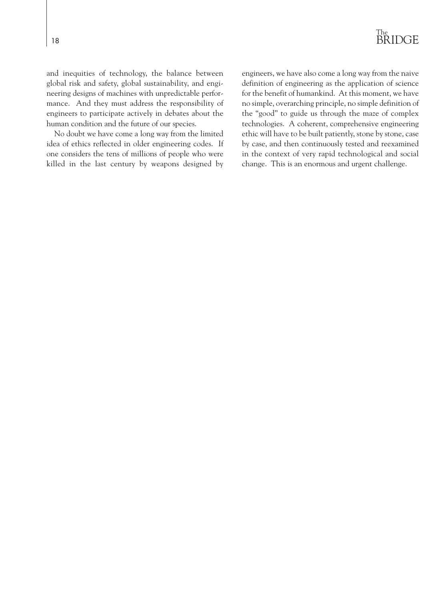

and inequities of technology, the balance between global risk and safety, global sustainability, and engineering designs of machines with unpredictable performance. And they must address the responsibility of engineers to participate actively in debates about the human condition and the future of our species.

No doubt we have come a long way from the limited idea of ethics reflected in older engineering codes. If one considers the tens of millions of people who were killed in the last century by weapons designed by

engineers, we have also come a long way from the naive definition of engineering as the application of science for the benefit of humankind. At this moment, we have no simple, overarching principle, no simple definition of the "good" to guide us through the maze of complex technologies. A coherent, comprehensive engineering ethic will have to be built patiently, stone by stone, case by case, and then continuously tested and reexamined in the context of very rapid technological and social change. This is an enormous and urgent challenge.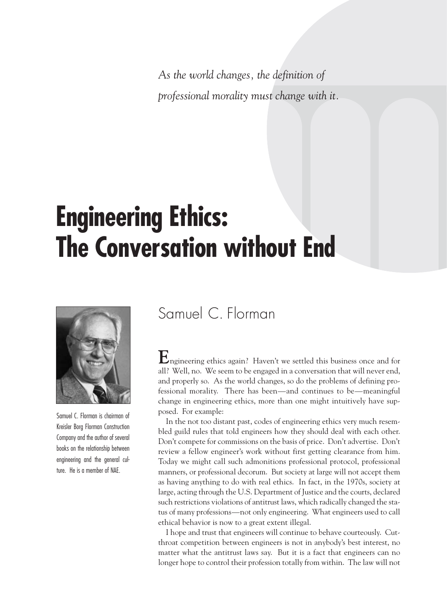*As the world changes, the definition of professional morality must change with it.*

## **Engineering Ethics: The Conversation without End**



Samuel C. Florman is chairman of Kreisler Borg Florman Construction Company and the author of several books on the relationship between engineering and the general culture. He is a member of NAE.

## Samuel C. Florman

**E**ngineering ethics again? Haven't we settled this business once and for all? Well, no. We seem to be engaged in a conversation that will never end, and properly so. As the world changes, so do the problems of defining professional morality. There has been—and continues to be—meaningful change in engineering ethics, more than one might intuitively have supposed. For example:

In the not too distant past, codes of engineering ethics very much resembled guild rules that told engineers how they should deal with each other. Don't compete for commissions on the basis of price. Don't advertise. Don't review a fellow engineer's work without first getting clearance from him. Today we might call such admonitions professional protocol, professional manners, or professional decorum. But society at large will not accept them as having anything to do with real ethics. In fact, in the 1970s, society at large, acting through the U.S. Department of Justice and the courts, declared such restrictions violations of antitrust laws, which radically changed the status of many professions—not only engineering. What engineers used to call ethical behavior is now to a great extent illegal.

I hope and trust that engineers will continue to behave courteously. Cutthroat competition between engineers is not in anybody's best interest, no matter what the antitrust laws say. But it is a fact that engineers can no longer hope to control their profession totally from within. The law will not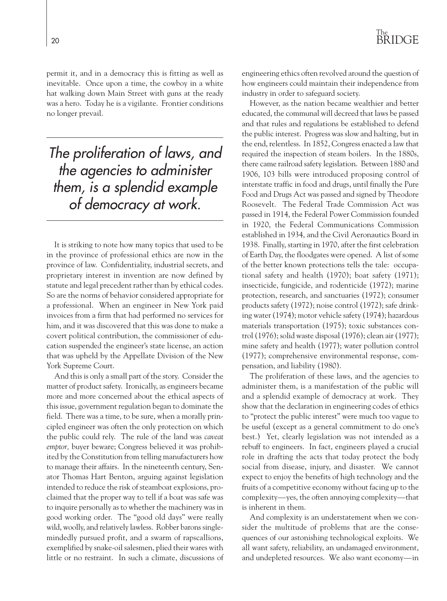permit it, and in a democracy this is fitting as well as inevitable. Once upon a time, the cowboy in a white hat walking down Main Street with guns at the ready was a hero. Today he is a vigilante. Frontier conditions no longer prevail.

## *The proliferation of laws, and the agencies to administer them, is a splendid example of democracy at work.*

It is striking to note how many topics that used to be in the province of professional ethics are now in the province of law. Confidentiality, industrial secrets, and proprietary interest in invention are now defined by statute and legal precedent rather than by ethical codes. So are the norms of behavior considered appropriate for a professional. When an engineer in New York paid invoices from a firm that had performed no services for him, and it was discovered that this was done to make a covert political contribution, the commissioner of education suspended the engineer's state license, an action that was upheld by the Appellate Division of the New York Supreme Court.

And this is only a small part of the story. Consider the matter of product safety. Ironically, as engineers became more and more concerned about the ethical aspects of this issue, government regulation began to dominate the field. There was a time, to be sure, when a morally principled engineer was often the only protection on which the public could rely. The rule of the land was *caveat emptor,* buyer beware; Congress believed it was prohibited by the Constitution from telling manufacturers how to manage their affairs. In the nineteenth century, Senator Thomas Hart Benton, arguing against legislation intended to reduce the risk of steamboat explosions, proclaimed that the proper way to tell if a boat was safe was to inquire personally as to whether the machinery was in good working order. The "good old days" were really wild, woolly, and relatively lawless. Robber barons singlemindedly pursued profit, and a swarm of rapscallions, exemplified by snake-oil salesmen, plied their wares with little or no restraint. In such a climate, discussions of engineering ethics often revolved around the question of how engineers could maintain their independence from industry in order to safeguard society.

However, as the nation became wealthier and better educated, the communal will decreed that laws be passed and that rules and regulations be established to defend the public interest. Progress was slow and halting, but in the end, relentless. In 1852, Congress enacted a law that required the inspection of steam boilers. In the 1880s, there came railroad safety legislation. Between 1880 and 1906, 103 bills were introduced proposing control of interstate traffic in food and drugs, until finally the Pure Food and Drugs Act was passed and signed by Theodore Roosevelt. The Federal Trade Commission Act was passed in 1914, the Federal Power Commission founded in 1920, the Federal Communications Commission established in 1934, and the Civil Aeronautics Board in 1938. Finally, starting in 1970, after the first celebration of Earth Day, the floodgates were opened. A list of some of the better known protections tells the tale: occupational safety and health (1970); boat safety (1971); insecticide, fungicide, and rodenticide (1972); marine protection, research, and sanctuaries (1972); consumer products safety (1972); noise control (1972); safe drinking water (1974); motor vehicle safety (1974); hazardous materials transportation (1975); toxic substances control (1976); solid waste disposal (1976); clean air (1977); mine safety and health (1977); water pollution control (1977); comprehensive environmental response, compensation, and liability (1980).

The proliferation of these laws, and the agencies to administer them, is a manifestation of the public will and a splendid example of democracy at work. They show that the declaration in engineering codes of ethics to "protect the public interest" were much too vague to be useful (except as a general commitment to do one's best.) Yet, clearly legislation was not intended as a rebuff to engineers. In fact, engineers played a crucial role in drafting the acts that today protect the body social from disease, injury, and disaster. We cannot expect to enjoy the benefits of high technology and the fruits of a competitive economy without facing up to the complexity—yes, the often annoying complexity—that is inherent in them.

And complexity is an understatement when we consider the multitude of problems that are the consequences of our astonishing technological exploits. We all want safety, reliability, an undamaged environment, and undepleted resources. We also want economy—in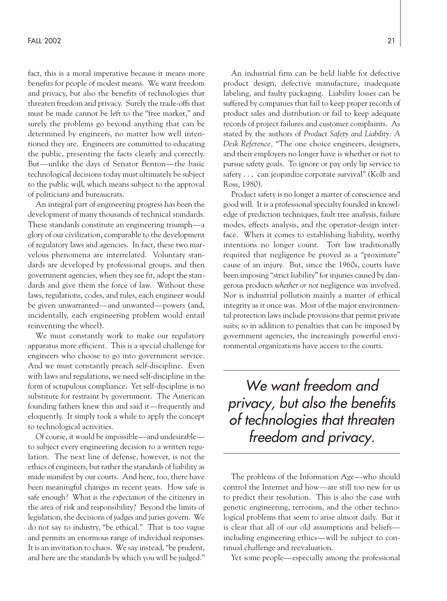fact, this is a moral imperative because it means more benefits for people of modest means. We want freedom and privacy, but also the benefits of technologies that threaten freedom and privacy. Surely the trade-offs that must be made cannot be left to the "free market," and surely the problems go beyond anything that can be determined by engineers, no matter how well intentioned they are. Engineers are committed to educating the public, presenting the facts clearly and correctly. But—unlike the days of Senator Benton—the basic technological decisions today must ultimately be subject to the public will, which means subject to the approval of politicians and bureaucrats.

An integral part of engineering progress has been the development of many thousands of technical standards. These standards constitute an engineering triumph—a glory of our civilization, comparable to the development of regulatory laws and agencies. In fact, these two marvelous phenomena are interrelated. Voluntary standards are developed by professional groups, and then government agencies, when they see fit, adopt the standards and give them the force of law. Without these laws, regulations, codes, and rules, each engineer would be given unwarranted—and unwanted—powers (and, incidentally, each engineering problem would entail reinventing the wheel).

We must constantly work to make our regulatory apparatus more efficient. This is a special challenge for engineers who choose to go into government service. And we must constantly preach self-discipline. Even with laws and regulations, we need self-discipline in the form of scrupulous compliance. Yet self-discipline is no substitute for restraint by government. The American founding fathers knew this and said it—frequently and eloquently. It simply took a while to apply the concept to technological activities.

Of course, it would be impossible—and undesirable to subject every engineering decision to a written regulation. The next line of defense, however, is not the ethics of engineers, but rather the standards of liability as made manifest by our courts. And here, too, there have been meaningful changes in recent years. How safe is safe enough? What is the *expectation* of the citizenry in the area of risk and responsibility? Beyond the limits of legislation, the decisions of judges and juries govern. We do not say to industry, "be ethical." That is too vague and permits an enormous range of individual responses. It is an invitation to chaos. We say instead, "be prudent, and here are the standards by which you will be judged."

An industrial firm can be held liable for defective product design, defective manufacture, inadequate labeling, and faulty packaging. Liability losses can be suffered by companies that fail to keep proper records of product sales and distribution or fail to keep adequate records of project failures and customer complaints. As stated by the authors of *Product Safety and Liability: A Desk Reference,* "The one choice engineers, designers, and their employers no longer have is whether or not to pursue safety goals. To ignore or pay only lip service to safety . . . can jeopardize corporate survival" (Kolb and Ross, 1980).

Product safety is no longer a matter of conscience and good will. It is a professional specialty founded in knowledge of prediction techniques, fault tree analysis, failure modes, effects analysis, and the operator-design interface. When it comes to establishing liability, worthy intentions no longer count. Tort law traditionally required that negligence be proved as a "proximate" cause of an injury. But, since the 1960s, courts have been imposing "strict liability" for injuries caused by dangerous products *whether or not* negligence was involved. Nor is industrial pollution mainly a matter of ethical integrity as it once was. Most of the major environmental protection laws include provisions that permit private suits; so in addition to penalties that can be imposed by government agencies, the increasingly powerful environmental organizations have access to the courts.

*We want freedom and privacy, but also the benefits of technologies that threaten freedom and privacy.*

The problems of the Information Age—who should control the Internet and how—are still too new for us to predict their resolution. This is also the case with genetic engineering, terrorism, and the other technological problems that seem to arise almost daily. But it is clear that all of our old assumptions and beliefs including engineering ethics—will be subject to continual challenge and reevaluation.

Yet some people—especially among the professional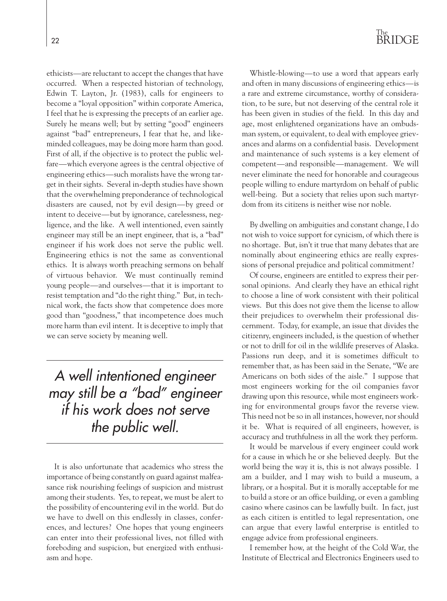ethicists—are reluctant to accept the changes that have occurred. When a respected historian of technology, Edwin T. Layton, Jr. (1983), calls for engineers to become a "loyal opposition" within corporate America, I feel that he is expressing the precepts of an earlier age. Surely he means well; but by setting "good" engineers against "bad" entrepreneurs, I fear that he, and likeminded colleagues, may be doing more harm than good. First of all, if the objective is to protect the public welfare—which everyone agrees is the central objective of engineering ethics—such moralists have the wrong target in their sights. Several in-depth studies have shown that the overwhelming preponderance of technological disasters are caused, not by evil design—by greed or intent to deceive—but by ignorance, carelessness, negligence, and the like. A well intentioned, even saintly engineer may still be an inept engineer, that is, a "bad" engineer if his work does not serve the public well. Engineering ethics is not the same as conventional ethics. It is always worth preaching sermons on behalf of virtuous behavior. We must continually remind young people—and ourselves—that it is important to resist temptation and "do the right thing." But, in technical work, the facts show that competence does more good than "goodness," that incompetence does much more harm than evil intent. It is deceptive to imply that we can serve society by meaning well.

*A well intentioned engineer may still be a "bad" engineer if his work does not serve the public well.*

It is also unfortunate that academics who stress the importance of being constantly on guard against malfeasance risk nourishing feelings of suspicion and mistrust among their students. Yes, to repeat, we must be alert to the possibility of encountering evil in the world. But do we have to dwell on this endlessly in classes, conferences, and lectures? One hopes that young engineers can enter into their professional lives, not filled with foreboding and suspicion, but energized with enthusiasm and hope.

## The BRIDGE

Whistle-blowing—to use a word that appears early and often in many discussions of engineering ethics—is a rare and extreme circumstance, worthy of consideration, to be sure, but not deserving of the central role it has been given in studies of the field. In this day and age, most enlightened organizations have an ombudsman system, or equivalent, to deal with employee grievances and alarms on a confidential basis. Development and maintenance of such systems is a key element of competent—and responsible—management. We will never eliminate the need for honorable and courageous people willing to endure martyrdom on behalf of public well-being. But a society that relies upon such martyrdom from its citizens is neither wise nor noble.

By dwelling on ambiguities and constant change, I do not wish to voice support for cynicism, of which there is no shortage. But, isn't it true that many debates that are nominally about engineering ethics are really expressions of personal prejudice and political commitment?

Of course, engineers are entitled to express their personal opinions. And clearly they have an ethical right to choose a line of work consistent with their political views. But this does not give them the license to allow their prejudices to overwhelm their professional discernment. Today, for example, an issue that divides the citizenry, engineers included, is the question of whether or not to drill for oil in the wildlife preserves of Alaska. Passions run deep, and it is sometimes difficult to remember that, as has been said in the Senate, "We are Americans on both sides of the aisle." I suppose that most engineers working for the oil companies favor drawing upon this resource, while most engineers working for environmental groups favor the reverse view. This need not be so in all instances, however, nor should it be. What is required of all engineers, however, is accuracy and truthfulness in all the work they perform.

It would be marvelous if every engineer could work for a cause in which he or she believed deeply. But the world being the way it is, this is not always possible. I am a builder, and I may wish to build a museum, a library, or a hospital. But it is morally acceptable for me to build a store or an office building, or even a gambling casino where casinos can be lawfully built. In fact, just as each citizen is entitled to legal representation, one can argue that every lawful enterprise is entitled to engage advice from professional engineers.

I remember how, at the height of the Cold War, the Institute of Electrical and Electronics Engineers used to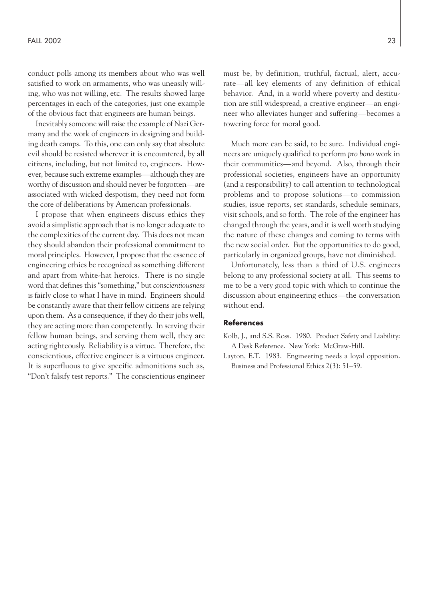conduct polls among its members about who was well satisfied to work on armaments, who was uneasily willing, who was not willing, etc. The results showed large percentages in each of the categories, just one example of the obvious fact that engineers are human beings.

Inevitably someone will raise the example of Nazi Germany and the work of engineers in designing and building death camps. To this, one can only say that absolute evil should be resisted wherever it is encountered, by all citizens, including, but not limited to, engineers. However, because such extreme examples—although they are worthy of discussion and should never be forgotten—are associated with wicked despotism, they need not form the core of deliberations by American professionals.

I propose that when engineers discuss ethics they avoid a simplistic approach that is no longer adequate to the complexities of the current day. This does not mean they should abandon their professional commitment to moral principles. However, I propose that the essence of engineering ethics be recognized as something different and apart from white-hat heroics. There is no single word that defines this "something," but *conscientiousness* is fairly close to what I have in mind. Engineers should be constantly aware that their fellow citizens are relying upon them. As a consequence, if they do their jobs well, they are acting more than competently. In serving their fellow human beings, and serving them well, they are acting righteously. Reliability is a virtue. Therefore, the conscientious, effective engineer is a virtuous engineer. It is superfluous to give specific admonitions such as, "Don't falsify test reports." The conscientious engineer must be, by definition, truthful, factual, alert, accurate—all key elements of any definition of ethical behavior. And, in a world where poverty and destitution are still widespread, a creative engineer—an engineer who alleviates hunger and suffering—becomes a towering force for moral good.

Much more can be said, to be sure. Individual engineers are uniquely qualified to perform *pro bono* work in their communities—and beyond. Also, through their professional societies, engineers have an opportunity (and a responsibility) to call attention to technological problems and to propose solutions—to commission studies, issue reports, set standards, schedule seminars, visit schools, and so forth. The role of the engineer has changed through the years, and it is well worth studying the nature of these changes and coming to terms with the new social order. But the opportunities to do good, particularly in organized groups, have not diminished.

Unfortunately, less than a third of U.S. engineers belong to any professional society at all. This seems to me to be a very good topic with which to continue the discussion about engineering ethics—the conversation without end.

### **References**

- Kolb, J., and S.S. Ross. 1980. Product Safety and Liability: A Desk Reference. New York: McGraw-Hill.
- Layton, E.T. 1983. Engineering needs a loyal opposition. Business and Professional Ethics 2(3): 51–59.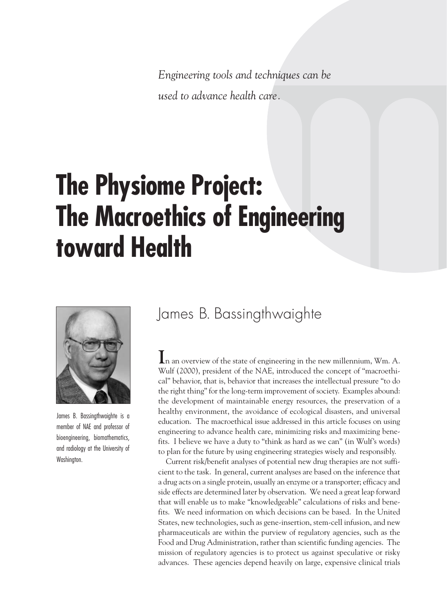*Engineering tools and techniques can be used to advance health care.*

# **The Physiome Project: The Macroethics of Engineering toward Health**



James B. Bassingthwaighte is a member of NAE and professor of bioengineering, biomathematics, and radiology at the University of Washington.

## James B. Bassingthwaighte

**I**n an overview of the state of engineering in the new millennium, Wm. A. Wulf (2000), president of the NAE, introduced the concept of "macroethical" behavior, that is, behavior that increases the intellectual pressure "to do the right thing" for the long-term improvement of society. Examples abound: the development of maintainable energy resources, the preservation of a healthy environment, the avoidance of ecological disasters, and universal education. The macroethical issue addressed in this article focuses on using engineering to advance health care, minimizing risks and maximizing benefits. I believe we have a duty to "think as hard as we can" (in Wulf's words) to plan for the future by using engineering strategies wisely and responsibly.

Current risk/benefit analyses of potential new drug therapies are not sufficient to the task. In general, current analyses are based on the inference that a drug acts on a single protein, usually an enzyme or a transporter; efficacy and side effects are determined later by observation. We need a great leap forward that will enable us to make "knowledgeable" calculations of risks and benefits. We need information on which decisions can be based. In the United States, new technologies, such as gene-insertion, stem-cell infusion, and new pharmaceuticals are within the purview of regulatory agencies, such as the Food and Drug Administration, rather than scientific funding agencies. The mission of regulatory agencies is to protect us against speculative or risky advances. These agencies depend heavily on large, expensive clinical trials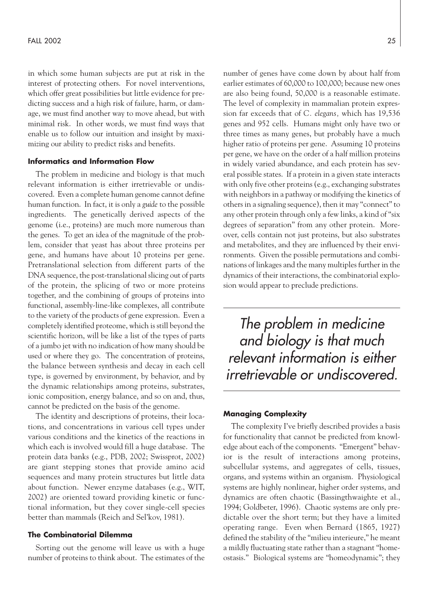in which some human subjects are put at risk in the interest of protecting others. For novel interventions, which offer great possibilities but little evidence for predicting success and a high risk of failure, harm, or damage, we must find another way to move ahead, but with minimal risk. In other words, we must find ways that enable us to follow our intuition and insight by maximizing our ability to predict risks and benefits.

### **Informatics and Information Flow**

The problem in medicine and biology is that much relevant information is either irretrievable or undiscovered. Even a complete human genome cannot define human function. In fact, it is only a *guide* to the possible ingredients. The genetically derived aspects of the genome (i.e., proteins) are much more numerous than the genes. To get an idea of the magnitude of the problem, consider that yeast has about three proteins per gene, and humans have about 10 proteins per gene. Pretranslational selection from different parts of the DNA sequence, the post-translational slicing out of parts of the protein, the splicing of two or more proteins together, and the combining of groups of proteins into functional, assembly-line-like complexes, all contribute to the variety of the products of gene expression. Even a completely identified proteome, which is still beyond the scientific horizon, will be like a list of the types of parts of a jumbo jet with no indication of how many should be used or where they go. The concentration of proteins, the balance between synthesis and decay in each cell type, is governed by environment, by behavior, and by the dynamic relationships among proteins, substrates, ionic composition, energy balance, and so on and, thus, cannot be predicted on the basis of the genome.

The identity and descriptions of proteins, their locations, and concentrations in various cell types under various conditions and the kinetics of the reactions in which each is involved would fill a huge database. The protein data banks (e.g., PDB, 2002; Swissprot, 2002) are giant stepping stones that provide amino acid sequences and many protein structures but little data about function. Newer enzyme databases (e.g., WIT, 2002) are oriented toward providing kinetic or functional information, but they cover single-cell species better than mammals (Reich and Sel'kov, 1981).

### **The Combinatorial Dilemma**

Sorting out the genome will leave us with a huge number of proteins to think about. The estimates of the number of genes have come down by about half from earlier estimates of 60,000 to 100,000; because new ones are also being found, 50,000 is a reasonable estimate. The level of complexity in mammalian protein expression far exceeds that of *C. elegans,* which has 19,536 genes and 952 cells. Humans might only have two or three times as many genes, but probably have a much higher ratio of proteins per gene. Assuming 10 proteins per gene, we have on the order of a half million proteins in widely varied abundance, and each protein has several possible states. If a protein in a given state interacts with only five other proteins (e.g., exchanging substrates with neighbors in a pathway or modifying the kinetics of others in a signaling sequence), then it may "connect" to any other protein through only a few links, a kind of "six degrees of separation" from any other protein. Moreover, cells contain not just proteins, but also substrates and metabolites, and they are influenced by their environments. Given the possible permutations and combinations of linkages and the many multiples further in the dynamics of their interactions, the combinatorial explosion would appear to preclude predictions.

*The problem in medicine and biology is that much relevant information is either irretrievable or undiscovered.*

#### **Managing Complexity**

The complexity I've briefly described provides a basis for functionality that cannot be predicted from knowledge about each of the components. "Emergent" behavior is the result of interactions among proteins, subcellular systems, and aggregates of cells, tissues, organs, and systems within an organism. Physiological systems are highly nonlinear, higher order systems, and dynamics are often chaotic (Bassingthwaighte et al., 1994; Goldbeter, 1996). Chaotic systems are only predictable over the short term; but they have a limited operating range. Even when Bernard (1865, 1927) defined the stability of the "milieu interieure," he meant a mildly fluctuating state rather than a stagnant "homeostasis." Biological systems are "homeodynamic"; they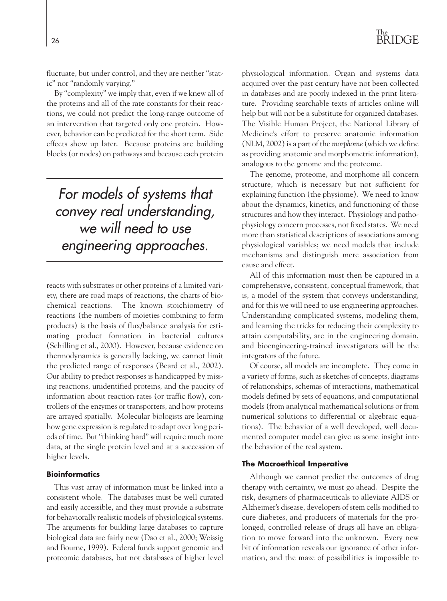

fluctuate, but under control, and they are neither "static" nor "randomly varying."

By "complexity" we imply that, even if we knew all of the proteins and all of the rate constants for their reactions, we could not predict the long-range outcome of an intervention that targeted only one protein. However, behavior can be predicted for the short term. Side effects show up later. Because proteins are building blocks (or nodes) on pathways and because each protein

## *For models of systems that convey real understanding, we will need to use engineering approaches.*

reacts with substrates or other proteins of a limited variety, there are road maps of reactions, the charts of biochemical reactions. The known stoichiometry of reactions (the numbers of moieties combining to form products) is the basis of flux/balance analysis for estimating product formation in bacterial cultures (Schilling et al., 2000). However, because evidence on thermodynamics is generally lacking, we cannot limit the predicted range of responses (Beard et al., 2002). Our ability to predict responses is handicapped by missing reactions, unidentified proteins, and the paucity of information about reaction rates (or traffic flow), controllers of the enzymes or transporters, and how proteins are arrayed spatially. Molecular biologists are learning how gene expression is regulated to adapt over long periods of time. But "thinking hard" will require much more data, at the single protein level and at a succession of higher levels.

#### **Bioinformatics**

This vast array of information must be linked into a consistent whole. The databases must be well curated and easily accessible, and they must provide a substrate for behaviorally realistic models of physiological systems. The arguments for building large databases to capture biological data are fairly new (Dao et al., 2000; Weissig and Bourne, 1999). Federal funds support genomic and proteomic databases, but not databases of higher level physiological information. Organ and systems data acquired over the past century have not been collected in databases and are poorly indexed in the print literature. Providing searchable texts of articles online will help but will not be a substitute for organized databases. The Visible Human Project, the National Library of Medicine's effort to preserve anatomic information (NLM, 2002) is a part of the *morphome*(which we define as providing anatomic and morphometric information), analogous to the genome and the proteome.

The genome, proteome, and morphome all concern structure, which is necessary but not sufficient for explaining function (the physiome). We need to know about the dynamics, kinetics, and functioning of those structures and how they interact. Physiology and pathophysiology concern processes, not fixed states. We need more than statistical descriptions of associations among physiological variables; we need models that include mechanisms and distinguish mere association from cause and effect.

All of this information must then be captured in a comprehensive, consistent, conceptual framework, that is, a model of the system that conveys understanding, and for this we will need to use engineering approaches. Understanding complicated systems, modeling them, and learning the tricks for reducing their complexity to attain computability, are in the engineering domain, and bioengineering-trained investigators will be the integrators of the future.

Of course, all models are incomplete. They come in a variety of forms, such as sketches of concepts, diagrams of relationships, schemas of interactions, mathematical models defined by sets of equations, and computational models (from analytical mathematical solutions or from numerical solutions to differential or algebraic equations). The behavior of a well developed, well documented computer model can give us some insight into the behavior of the real system.

### **The Macroethical Imperative**

Although we cannot predict the outcomes of drug therapy with certainty, we must go ahead. Despite the risk, designers of pharmaceuticals to alleviate AIDS or Alzheimer's disease, developers of stem cells modified to cure diabetes, and producers of materials for the prolonged, controlled release of drugs all have an obligation to move forward into the unknown. Every new bit of information reveals our ignorance of other information, and the maze of possibilities is impossible to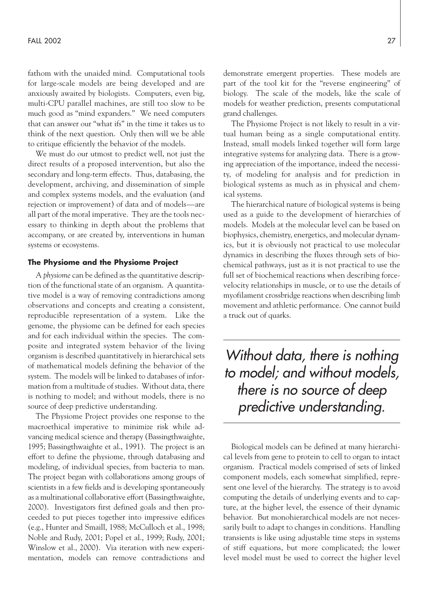fathom with the unaided mind. Computational tools for large-scale models are being developed and are anxiously awaited by biologists. Computers, even big, multi-CPU parallel machines, are still too slow to be much good as "mind expanders." We need computers that can answer our "what ifs" in the time it takes us to think of the next question. Only then will we be able to critique efficiently the behavior of the models.

We must do our utmost to predict well, not just the direct results of a proposed intervention, but also the secondary and long-term effects. Thus, databasing, the development, archiving, and dissemination of simple and complex systems models, and the evaluation (and rejection or improvement) of data and of models—are all part of the moral imperative. They are the tools necessary to thinking in depth about the problems that accompany, or are created by, interventions in human systems or ecosystems.

### **The Physiome and the Physiome Project**

A *physiome* can be defined as the quantitative description of the functional state of an organism. A quantitative model is a way of removing contradictions among observations and concepts and creating a consistent, reproducible representation of a system. Like the genome, the physiome can be defined for each species and for each individual within the species. The composite and integrated system behavior of the living organism is described quantitatively in hierarchical sets of mathematical models defining the behavior of the system. The models will be linked to databases of information from a multitude of studies. Without data, there is nothing to model; and without models, there is no source of deep predictive understanding.

The Physiome Project provides one response to the macroethical imperative to minimize risk while advancing medical science and therapy (Bassingthwaighte, 1995; Bassingthwaighte et al., 1991). The project is an effort to define the physiome, through databasing and modeling, of individual species, from bacteria to man. The project began with collaborations among groups of scientists in a few fields and is developing spontaneously as a multinational collaborative effort (Bassingthwaighte, 2000). Investigators first defined goals and then proceeded to put pieces together into impressive edifices (e.g., Hunter and Smaill, 1988; McCulloch et al., 1998; Noble and Rudy, 2001; Popel et al., 1999; Rudy, 2001; Winslow et al., 2000). Via iteration with new experimentation, models can remove contradictions and demonstrate emergent properties. These models are part of the tool kit for the "reverse engineering" of biology. The scale of the models, like the scale of models for weather prediction, presents computational grand challenges.

The Physiome Project is not likely to result in a virtual human being as a single computational entity. Instead, small models linked together will form large integrative systems for analyzing data. There is a growing appreciation of the importance, indeed the necessity, of modeling for analysis and for prediction in biological systems as much as in physical and chemical systems.

The hierarchical nature of biological systems is being used as a guide to the development of hierarchies of models. Models at the molecular level can be based on biophysics, chemistry, energetics, and molecular dynamics, but it is obviously not practical to use molecular dynamics in describing the fluxes through sets of biochemical pathways, just as it is not practical to use the full set of biochemical reactions when describing forcevelocity relationships in muscle, or to use the details of myofilament crossbridge reactions when describing limb movement and athletic performance. One cannot build a truck out of quarks.

*Without data, there is nothing to model; and without models, there is no source of deep predictive understanding.*

Biological models can be defined at many hierarchical levels from gene to protein to cell to organ to intact organism. Practical models comprised of sets of linked component models, each somewhat simplified, represent one level of the hierarchy. The strategy is to avoid computing the details of underlying events and to capture, at the higher level, the essence of their dynamic behavior. But monohierarchical models are not necessarily built to adapt to changes in conditions. Handling transients is like using adjustable time steps in systems of stiff equations, but more complicated; the lower level model must be used to correct the higher level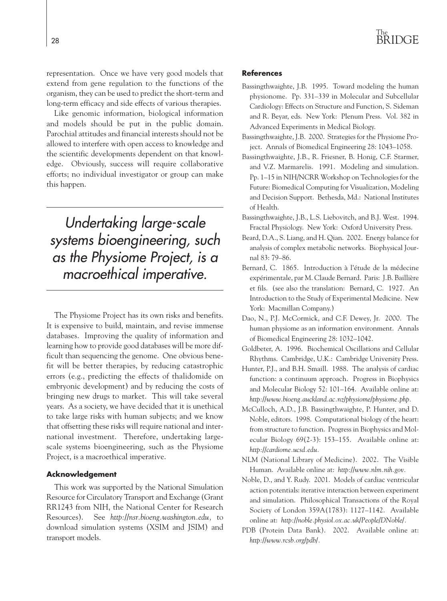representation. Once we have very good models that extend from gene regulation to the functions of the organism, they can be used to predict the short-term and long-term efficacy and side effects of various therapies.

Like genomic information, biological information and models should be put in the public domain. Parochial attitudes and financial interests should not be allowed to interfere with open access to knowledge and the scientific developments dependent on that knowledge. Obviously, success will require collaborative efforts; no individual investigator or group can make this happen.

*Undertaking large-scale systems bioengineering, such as the Physiome Project, is a macroethical imperative.*

The Physiome Project has its own risks and benefits. It is expensive to build, maintain, and revise immense databases. Improving the quality of information and learning how to provide good databases will be more difficult than sequencing the genome. One obvious benefit will be better therapies, by reducing catastrophic errors (e.g., predicting the effects of thalidomide on embryonic development) and by reducing the costs of bringing new drugs to market. This will take several years. As a society, we have decided that it is unethical to take large risks with human subjects; and we know that offsetting these risks will require national and international investment. Therefore, undertaking largescale systems bioengineering, such as the Physiome Project, is a macroethical imperative.

### **Acknowledgement**

This work was supported by the National Simulation Resource for Circulatory Transport and Exchange (Grant RR1243 from NIH, the National Center for Research Resources). See *http://nsr.bioeng.washington.edu,* to download simulation systems (XSIM and JSIM) and transport models.

### **References**

- Bassingthwaighte, J.B. 1995. Toward modeling the human physionome. Pp. 331–339 in Molecular and Subcellular Cardiology: Effects on Structure and Function, S. Sideman and R. Beyar, eds. New York: Plenum Press. Vol. 382 in Advanced Experiments in Medical Biology.
- Bassingthwaighte, J.B. 2000. Strategies for the Physiome Project. Annals of Biomedical Engineering 28: 1043–1058.
- Bassingthwaighte, J.B., R. Friesner, B. Honig, C.F. Starmer, and V.Z. Marmarelis. 1991. Modeling and simulation. Pp. 1–15 in NIH/NCRR Workshop on Technologies for the Future: Biomedical Computing for Visualization, Modeling and Decision Support. Bethesda, Md.: National Institutes of Health.
- Bassingthwaighte, J.B., L.S. Liebovitch, and B.J. West. 1994. Fractal Physiology. New York: Oxford University Press.
- Beard, D.A., S. Liang, and H. Qian. 2002. Energy balance for analysis of complex metabolic networks. Biophysical Journal 83: 79–86.
- Bernard, C. 1865. Introduction à l'étude de la médecine expérimentale, par M. Claude Bernard. Paris: J.B. Baillière et fils. (see also the translation: Bernard, C. 1927. An Introduction to the Study of Experimental Medicine. New York: Macmillan Company.)
- Dao, N., P.J. McCormick, and C.F. Dewey, Jr. 2000. The human physiome as an information environment. Annals of Biomedical Engineering 28: 1032–1042.
- Goldbeter, A. 1996. Biochemical Oscillations and Cellular Rhythms. Cambridge, U.K.: Cambridge University Press.
- Hunter, P.J., and B.H. Smaill. 1988. The analysis of cardiac function: a continuum approach. Progress in Biophysics and Molecular Biology 52: 101–164. Available online at: *http://www.bioeng.auckland.ac.nz/physiome/physiome.php.*
- McCulloch, A.D., J.B. Bassingthwaighte, P. Hunter, and D. Noble, editors. 1998. Computational biology of the heart: from structure to function. Progress in Biophysics and Molecular Biology 69(2-3): 153–155. Available online at: *http://cardiome.ucsd.edu.*
- NLM (National Library of Medicine). 2002. The Visible Human. Available online at: *http://www.nlm.nih.gov.*
- Noble, D., and Y. Rudy. 2001. Models of cardiac ventricular action potentials: iterative interaction between experiment and simulation. Philosophical Transactions of the Royal Society of London 359A(1783): 1127–1142. Available online at: *http://noble.physiol.ox.ac.uk/People/DNoble/.*
- PDB (Protein Data Bank). 2002. Available online at: *http://www.rcsb.org/pdb/.*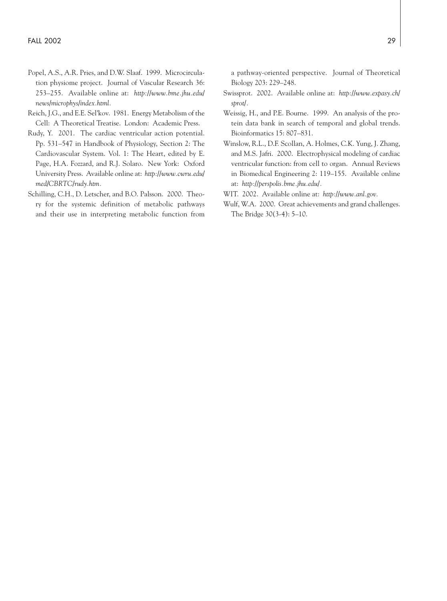- Popel, A.S., A.R. Pries, and D.W. Slaaf. 1999. Microcirculation physiome project. Journal of Vascular Research 36: 253–255. Available online at: *http://www.bme.jhu.edu/ news/microphys/index.html.*
- Reich, J.G., and E.E. Sel'kov. 1981. Energy Metabolism of the Cell: A Theoretical Treatise. London: Academic Press.
- Rudy, Y. 2001. The cardiac ventricular action potential. Pp. 531–547 in Handbook of Physiology, Section 2: The Cardiovascular System. Vol. 1: The Heart, edited by E. Page, H.A. Fozzard, and R.J. Solaro. New York: Oxford University Press. Available online at: *http://www.cwru.edu/ med/CBRTC/rudy.htm.*
- Schilling, C.H., D. Letscher, and B.O. Palsson. 2000. Theory for the systemic definition of metabolic pathways and their use in interpreting metabolic function from

a pathway-oriented perspective. Journal of Theoretical Biology 203: 229–248.

- Swissprot. 2002. Available online at: *http://www.expasy.ch/ sprot/.*
- Weissig, H., and P.E. Bourne. 1999. An analysis of the protein data bank in search of temporal and global trends. Bioinformatics 15: 807–831.
- Winslow, R.L., D.F. Scollan, A. Holmes, C.K. Yung, J. Zhang, and M.S. Jafri. 2000. Electrophysical modeling of cardiac ventricular function: from cell to organ. Annual Reviews in Biomedical Engineering 2: 119–155. Available online at: *http://perspolis.bme.jhu.edu/.*
- WIT. 2002. Available online at: *http://www.anl.gov.*
- Wulf, W.A. 2000. Great achievements and grand challenges. The Bridge 30(3-4): 5–10.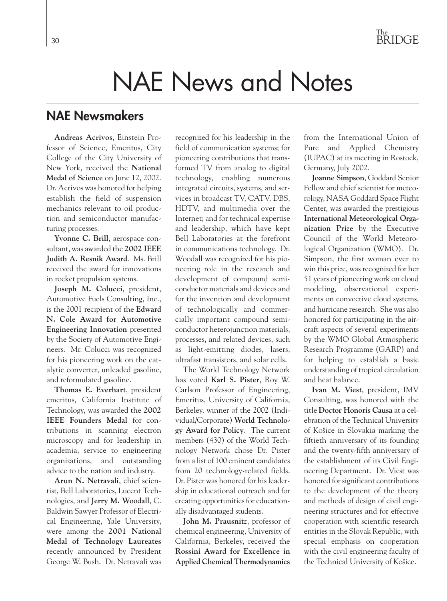## NAE News and Notes

## **NAE Newsmakers**

**Andreas Acrivos**, Einstein Professor of Science, Emeritus, City College of the City University of New York, received the **National Medal of Science** on June 12, 2002. Dr. Acrivos was honored for helping establish the field of suspension mechanics relevant to oil production and semiconductor manufacturing processes.

**Yvonne C. Brill**, aerospace consultant, was awarded the **2002 IEEE Judith A. Resnik Award**. Ms. Brill received the award for innovations in rocket propulsion systems.

**Joseph M. Colucci**, president, Automotive Fuels Consulting, Inc., is the 2001 recipient of the **Edward N. Cole Award for Automotive Engineering Innovation** presented by the Society of Automotive Engineers. Mr. Colucci was recognized for his pioneering work on the catalytic converter, unleaded gasoline, and reformulated gasoline.

**Thomas E. Everhart**, president emeritus, California Institute of Technology, was awarded the **2002 IEEE Founders Medal** for contributions in scanning electron microscopy and for leadership in academia, service to engineering organizations, and outstanding advice to the nation and industry.

**Arun N. Netravali**, chief scientist, Bell Laboratories, Lucent Technologies, and **Jerry M. Woodall**, C. Baldwin Sawyer Professor of Electrical Engineering, Yale University, were among the **2001 National Medal of Technology Laureates** recently announced by President George W. Bush. Dr. Netravali was recognized for his leadership in the field of communication systems; for pioneering contributions that transformed TV from analog to digital technology, enabling numerous integrated circuits, systems, and services in broadcast TV, CATV, DBS, HDTV, and multimedia over the Internet; and for technical expertise and leadership, which have kept Bell Laboratories at the forefront in communications technology. Dr. Woodall was recognized for his pioneering role in the research and development of compound semiconductor materials and devices and for the invention and development of technologically and commercially important compound semiconductor heterojunction materials, processes, and related devices, such as light-emitting diodes, lasers, ultrafast transistors, and solar cells.

The World Technology Network has voted **Karl S. Pister**, Roy W. Carlson Professor of Engineering, Emeritus, University of California, Berkeley, winner of the 2002 (Individual/Corporate) **World Technology Award for Policy**. The current members (430) of the World Technology Network chose Dr. Pister from a list of 100 eminent candidates from 20 technology-related fields. Dr. Pister was honored for his leadership in educational outreach and for creating opportunities for educationally disadvantaged students.

**John M. Prausnitz**, professor of chemical engineering, University of California, Berkeley, received the **Rossini Award for Excellence in Applied Chemical Thermodynamics**

from the International Union of Pure and Applied Chemistry (IUPAC) at its meeting in Rostock, Germany, July 2002.

**Joanne Simpson**, Goddard Senior Fellow and chief scientist for meteorology, NASA Goddard Space Flight Center, was awarded the prestigious **International Meteorological Organization Prize** by the Executive Council of the World Meteorological Organization (WMO). Dr. Simpson, the first woman ever to win this prize, was recognized for her 51 years of pioneering work on cloud modeling, observational experiments on convective cloud systems, and hurricane research. She was also honored for participating in the aircraft aspects of several experiments by the WMO Global Atmospheric Research Programme (GARP) and for helping to establish a basic understanding of tropical circulation and heat balance.

**Ivan M. Viest**, president, IMV Consulting, was honored with the title **Doctor Honoris Causa** at a celebration of the Technical University of Košice in Slovakia marking the fiftieth anniversary of its founding and the twenty-fifth anniversary of the establishment of its Civil Engineering Department. Dr. Viest was honored for significant contributions to the development of the theory and methods of design of civil engineering structures and for effective cooperation with scientific research entities in the Slovak Republic, with special emphasis on cooperation with the civil engineering faculty of the Technical University of Košice.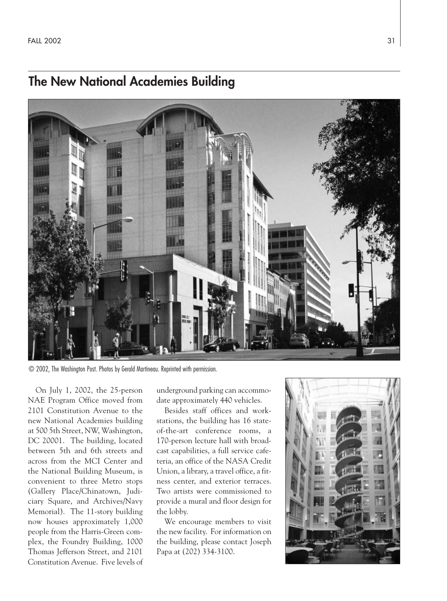## **The New National Academies Building**



© 2002, The Washington Post. Photos by Gerald Martineau. Reprinted with permission.

On July 1, 2002, the 25-person NAE Program Office moved from 2101 Constitution Avenue to the new National Academies building at 500 5th Street, NW, Washington, DC 20001. The building, located between 5th and 6th streets and across from the MCI Center and the National Building Museum, is convenient to three Metro stops (Gallery Place/Chinatown, Judiciary Square, and Archives/Navy Memorial). The 11-story building now houses approximately 1,000 people from the Harris-Green complex, the Foundry Building, 1000 Thomas Jefferson Street, and 2101 Constitution Avenue. Five levels of underground parking can accommodate approximately 440 vehicles.

Besides staff offices and workstations, the building has 16 stateof-the-art conference rooms, a 170-person lecture hall with broadcast capabilities, a full service cafeteria, an office of the NASA Credit Union, a library, a travel office, a fitness center, and exterior terraces. Two artists were commissioned to provide a mural and floor design for the lobby.

We encourage members to visit the new facility. For information on the building, please contact Joseph Papa at (202) 334-3100.

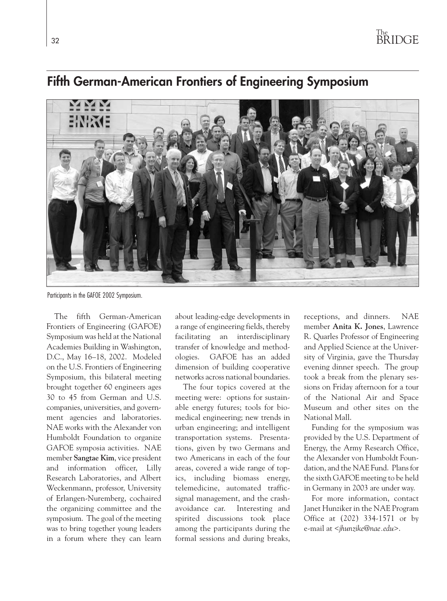

## **Fifth German-American Frontiers of Engineering Symposium**



Participants in the GAFOE 2002 Symposium.

The fifth German-American Frontiers of Engineering (GAFOE) Symposium was held at the National Academies Building in Washington, D.C., May 16–18, 2002. Modeled on the U.S. Frontiers of Engineering Symposium, this bilateral meeting brought together 60 engineers ages 30 to 45 from German and U.S. companies, universities, and government agencies and laboratories. NAE works with the Alexander von Humboldt Foundation to organize GAFOE symposia activities. NAE member **Sangtae Kim**, vice president and information officer, Lilly Research Laboratories, and Albert Weckenmann, professor, University of Erlangen-Nuremberg, cochaired the organizing committee and the symposium. The goal of the meeting was to bring together young leaders in a forum where they can learn about leading-edge developments in a range of engineering fields, thereby facilitating an interdisciplinary transfer of knowledge and methodologies. GAFOE has an added dimension of building cooperative networks across national boundaries.

The four topics covered at the meeting were: options for sustainable energy futures; tools for biomedical engineering; new trends in urban engineering; and intelligent transportation systems. Presentations, given by two Germans and two Americans in each of the four areas, covered a wide range of topics, including biomass energy, telemedicine, automated trafficsignal management, and the crashavoidance car. Interesting and spirited discussions took place among the participants during the formal sessions and during breaks,

receptions, and dinners. NAE member **Anita K. Jones**, Lawrence R. Quarles Professor of Engineering and Applied Science at the University of Virginia, gave the Thursday evening dinner speech. The group took a break from the plenary sessions on Friday afternoon for a tour of the National Air and Space Museum and other sites on the National Mall.

Funding for the symposium was provided by the U.S. Department of Energy, the Army Research Office, the Alexander von Humboldt Foundation, and the NAE Fund. Plans for the sixth GAFOE meeting to be held in Germany in 2003 are under way.

For more information, contact Janet Hunziker in the NAE Program Office at (202) 334-1571 or by e-mail at <*jhunzike@nae.edu*>.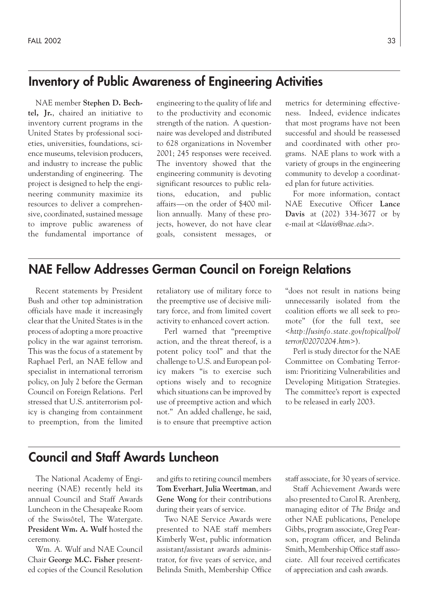### **Inventory of Public Awareness of Engineering Activities**

NAE member **Stephen D. Bechtel, Jr.**, chaired an initiative to inventory current programs in the United States by professional societies, universities, foundations, science museums, television producers, and industry to increase the public understanding of engineering. The project is designed to help the engineering community maximize its resources to deliver a comprehensive, coordinated, sustained message to improve public awareness of the fundamental importance of engineering to the quality of life and to the productivity and economic strength of the nation. A questionnaire was developed and distributed to 628 organizations in November 2001; 245 responses were received. The inventory showed that the engineering community is devoting significant resources to public relations, education, and public affairs—on the order of \$400 million annually. Many of these projects, however, do not have clear goals, consistent messages, or

metrics for determining effectiveness. Indeed, evidence indicates that most programs have not been successful and should be reassessed and coordinated with other programs. NAE plans to work with a variety of groups in the engineering community to develop a coordinated plan for future activities.

For more information, contact NAE Executive Officer **Lance Davis** at (202) 334-3677 or by e-mail at <*ldavis@nae.edu*>.

## **NAE Fellow Addresses German Council on Foreign Relations**

Recent statements by President Bush and other top administration officials have made it increasingly clear that the United States is in the process of adopting a more proactive policy in the war against terrorism. This was the focus of a statement by Raphael Perl, an NAE fellow and specialist in international terrorism policy, on July 2 before the German Council on Foreign Relations. Perl stressed that U.S. antiterrorism policy is changing from containment to preemption, from the limited

retaliatory use of military force to the preemptive use of decisive military force, and from limited covert activity to enhanced covert action.

Perl warned that "preemptive action, and the threat thereof, is a potent policy tool" and that the challenge to U.S. and European policy makers "is to exercise such options wisely and to recognize which situations can be improved by use of preemptive action and which not." An added challenge, he said, is to ensure that preemptive action

"does not result in nations being unnecessarily isolated from the coalition efforts we all seek to promote" (for the full text, see <*http://usinfo.state.gov/topical/pol/ terror/02070204.htm*>).

Perl is study director for the NAE Committee on Combating Terrorism: Prioritizing Vulnerabilities and Developing Mitigation Strategies. The committee's report is expected to be released in early 2003.

### **Council and Staff Awards Luncheon**

The National Academy of Engineering (NAE) recently held its annual Council and Staff Awards Luncheon in the Chesapeake Room of the Swissôtel, The Watergate. President Wm. A. Wulf hosted the ceremony.

Wm. A. Wulf and NAE Council Chair **George M.C. Fisher** presented copies of the Council Resolution and gifts to retiring council members **Tom Everhart**, **Julia Weertman**, and **Gene Wong** for their contributions during their years of service.

Two NAE Service Awards were presented to NAE staff members Kimberly West, public information assistant/assistant awards administrator, for five years of service, and Belinda Smith, Membership Office staff associate, for 30 years of service.

Staff Achievement Awards were also presented to Carol R. Arenberg, managing editor of *The Bridge* and other NAE publications, Penelope Gibbs, program associate, Greg Pearson, program officer, and Belinda Smith, Membership Office staff associate. All four received certificates of appreciation and cash awards.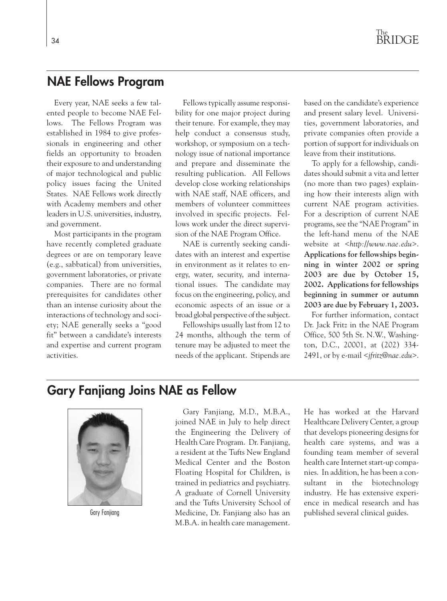## **NAE Fellows Program**

Every year, NAE seeks a few talented people to become NAE Fellows. The Fellows Program was established in 1984 to give professionals in engineering and other fields an opportunity to broaden their exposure to and understanding of major technological and public policy issues facing the United States. NAE Fellows work directly with Academy members and other leaders in U.S. universities, industry, and government.

Most participants in the program have recently completed graduate degrees or are on temporary leave (e.g., sabbatical) from universities, government laboratories, or private companies. There are no formal prerequisites for candidates other than an intense curiosity about the interactions of technology and society; NAE generally seeks a "good fit" between a candidate's interests and expertise and current program activities.

Fellows typically assume responsibility for one major project during their tenure. For example, they may help conduct a consensus study, workshop, or symposium on a technology issue of national importance and prepare and disseminate the resulting publication. All Fellows develop close working relationships with NAE staff, NAE officers, and members of volunteer committees involved in specific projects. Fellows work under the direct supervision of the NAE Program Office.

NAE is currently seeking candidates with an interest and expertise in environment as it relates to energy, water, security, and international issues. The candidate may focus on the engineering, policy, and economic aspects of an issue or a broad global perspective of the subject.

Fellowships usually last from 12 to 24 months, although the term of tenure may be adjusted to meet the needs of the applicant. Stipends are

based on the candidate's experience and present salary level. Universities, government laboratories, and private companies often provide a portion of support for individuals on leave from their institutions.

To apply for a fellowship, candidates should submit a vita and letter (no more than two pages) explaining how their interests align with current NAE program activities. For a description of current NAE programs, see the "NAE Program" in the left-hand menu of the NAE website at <*http://www.nae.edu*>. **Applications for fellowships beginning in winter 2002 or spring 2003 are due by October 15, 2002. Applications for fellowships beginning in summer or autumn 2003 are due by February 1, 2003.**

For further information, contact Dr. Jack Fritz in the NAE Program Office, 500 5th St. N.W., Washington, D.C., 20001, at (202) 334- 2491, or by e-mail <*jfritz@nae.edu*>.

## **Gary Fanjiang Joins NAE as Fellow**



Gary Fanjiang

Gary Fanjiang, M.D., M.B.A., joined NAE in July to help direct the Engineering the Delivery of Health Care Program. Dr. Fanjiang, a resident at the Tufts New England Medical Center and the Boston Floating Hospital for Children, is trained in pediatrics and psychiatry. A graduate of Cornell University and the Tufts University School of Medicine, Dr. Fanjiang also has an M.B.A. in health care management.

He has worked at the Harvard Healthcare Delivery Center, a group that develops pioneering designs for health care systems, and was a founding team member of several health care Internet start-up companies. In addition, he has been a consultant in the biotechnology industry. He has extensive experience in medical research and has published several clinical guides.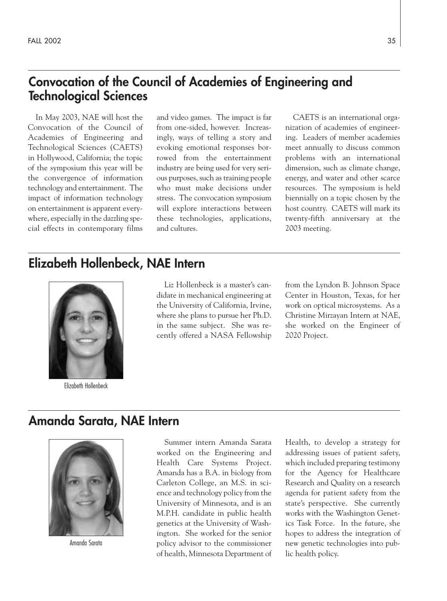### **Convocation of the Council of Academies of Engineering and Technological Sciences**

In May 2003, NAE will host the Convocation of the Council of Academies of Engineering and Technological Sciences (CAETS) in Hollywood, California; the topic of the symposium this year will be the convergence of information technology and entertainment. The impact of information technology on entertainment is apparent everywhere, especially in the dazzling special effects in contemporary films

and video games. The impact is far from one-sided, however. Increasingly, ways of telling a story and evoking emotional responses borrowed from the entertainment industry are being used for very serious purposes, such as training people who must make decisions under stress. The convocation symposium will explore interactions between these technologies, applications, and cultures.

CAETS is an international organization of academies of engineering. Leaders of member academies meet annually to discuss common problems with an international dimension, such as climate change, energy, and water and other scarce resources. The symposium is held biennially on a topic chosen by the host country. CAETS will mark its twenty-fifth anniversary at the 2003 meeting.

## **Elizabeth Hollenbeck, NAE Intern**



Elizabeth Hollenbeck

Liz Hollenbeck is a master's candidate in mechanical engineering at the University of California, Irvine, where she plans to pursue her Ph.D. in the same subject. She was recently offered a NASA Fellowship from the Lyndon B. Johnson Space Center in Houston, Texas, for her work on optical microsystems. As a Christine Mirzayan Intern at NAE, she worked on the Engineer of 2020 Project.

### **Amanda Sarata, NAE Intern**



Amanda Sarata

Summer intern Amanda Sarata worked on the Engineering and Health Care Systems Project. Amanda has a B.A. in biology from Carleton College, an M.S. in science and technology policy from the University of Minnesota, and is an M.P.H. candidate in public health genetics at the University of Washington. She worked for the senior policy advisor to the commissioner of health, Minnesota Department of Health, to develop a strategy for addressing issues of patient safety, which included preparing testimony for the Agency for Healthcare Research and Quality on a research agenda for patient safety from the state's perspective. She currently works with the Washington Genetics Task Force. In the future, she hopes to address the integration of new genetic technologies into public health policy.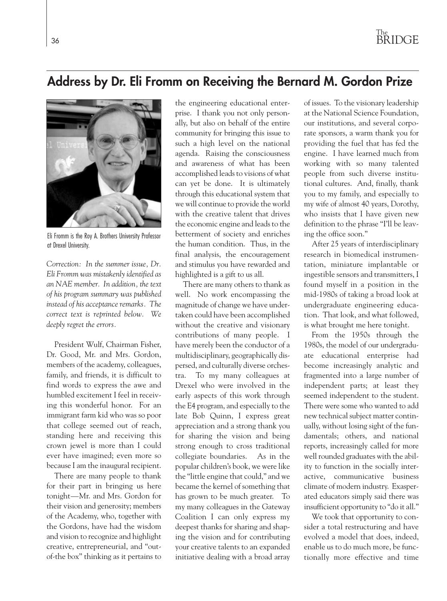## **Address by Dr. Eli Fromm on Receiving the Bernard M. Gordon Prize**



Eli Fromm is the Roy A. Brothers University Professor at Drexel University.

*Correction: In the summer issue, Dr. Eli Fromm was mistakenly identified as an NAE member. In addition, the text of his program summary was published instead of his acceptance remarks. The correct text is reprinted below. We deeply regret the errors.*

President Wulf, Chairman Fisher, Dr. Good, Mr. and Mrs. Gordon, members of the academy, colleagues, family, and friends, it is difficult to find words to express the awe and humbled excitement I feel in receiving this wonderful honor. For an immigrant farm kid who was so poor that college seemed out of reach, standing here and receiving this crown jewel is more than I could ever have imagined; even more so because I am the inaugural recipient.

There are many people to thank for their part in bringing us here tonight—Mr. and Mrs. Gordon for their vision and generosity; members of the Academy, who, together with the Gordons, have had the wisdom and vision to recognize and highlight creative, entrepreneurial, and "outof-the box" thinking as it pertains to the engineering educational enterprise. I thank you not only personally, but also on behalf of the entire community for bringing this issue to such a high level on the national agenda. Raising the consciousness and awareness of what has been accomplished leads to visions of what can yet be done. It is ultimately through this educational system that we will continue to provide the world with the creative talent that drives the economic engine and leads to the betterment of society and enriches the human condition. Thus, in the final analysis, the encouragement and stimulus you have rewarded and highlighted is a gift to us all.

There are many others to thank as well. No work encompassing the magnitude of change we have undertaken could have been accomplished without the creative and visionary contributions of many people. I have merely been the conductor of a multidisciplinary, geographically dispersed, and culturally diverse orchestra. To my many colleagues at Drexel who were involved in the early aspects of this work through the E4 program, and especially to the late Bob Quinn, I express great appreciation and a strong thank you for sharing the vision and being strong enough to cross traditional collegiate boundaries. As in the popular children's book, we were like the "little engine that could," and we became the kernel of something that has grown to be much greater. To my many colleagues in the Gateway Coalition I can only express my deepest thanks for sharing and shaping the vision and for contributing your creative talents to an expanded initiative dealing with a broad array

of issues. To the visionary leadership at the National Science Foundation, our institutions, and several corporate sponsors, a warm thank you for providing the fuel that has fed the engine. I have learned much from working with so many talented people from such diverse institutional cultures. And, finally, thank you to my family, and especially to my wife of almost 40 years, Dorothy, who insists that I have given new definition to the phrase "I'll be leaving the office soon."

After 25 years of interdisciplinary research in biomedical instrumentation, miniature implantable or ingestible sensors and transmitters, I found myself in a position in the mid-1980s of taking a broad look at undergraduate engineering education. That look, and what followed, is what brought me here tonight.

From the 1950s through the 1980s, the model of our undergraduate educational enterprise had become increasingly analytic and fragmented into a large number of independent parts; at least they seemed independent to the student. There were some who wanted to add new technical subject matter continually, without losing sight of the fundamentals; others, and national reports, increasingly called for more well rounded graduates with the ability to function in the socially interactive, communicative business climate of modern industry. Exasperated educators simply said there was insufficient opportunity to "do it all."

We took that opportunity to consider a total restructuring and have evolved a model that does, indeed, enable us to do much more, be functionally more effective and time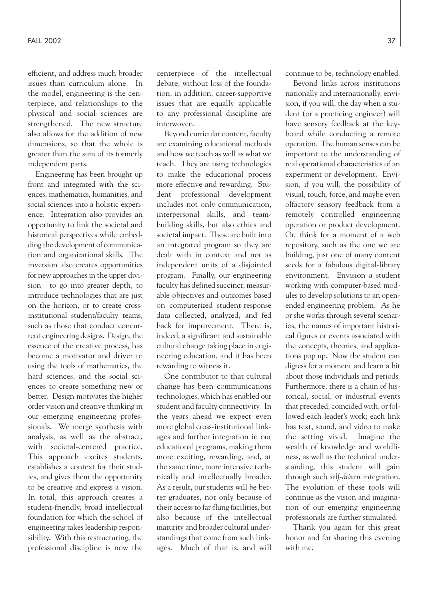efficient, and address much broader issues than curriculum alone. In the model, engineering is the centerpiece, and relationships to the physical and social sciences are strengthened. The new structure also allows for the addition of new dimensions, so that the whole is greater than the sum of its formerly independent parts.

Engineering has been brought up front and integrated with the sciences, mathematics, humanities, and social sciences into a holistic experience. Integration also provides an opportunity to link the societal and historical perspectives while embedding the development of communication and organizational skills. The inversion also creates opportunities for new approaches in the upper division—to go into greater depth, to introduce technologies that are just on the horizon, or to create crossinstitutional student/faculty teams, such as those that conduct concurrent engineering designs. Design, the essence of the creative process, has become a motivator and driver to using the tools of mathematics, the hard sciences, and the social sciences to create something new or better. Design motivates the higher order vision and creative thinking in our emerging engineering professionals. We merge synthesis with analysis, as well as the abstract, with societal-centered practice. This approach excites students, establishes a context for their studies, and gives them the opportunity to be creative and express a vision. In total, this approach creates a student-friendly, broad intellectual foundation for which the school of engineering takes leadership responsibility. With this restructuring, the professional discipline is now the

centerpiece of the intellectual debate, without loss of the foundation; in addition, career-supportive issues that are equally applicable to any professional discipline are interwoven.

Beyond curricular content, faculty are examining educational methods and how we teach as well as what we teach. They are using technologies to make the educational process more effective and rewarding. Student professional development includes not only communication, interpersonal skills, and teambuilding skills, but also ethics and societal impact. These are built into an integrated program so they are dealt with in context and not as independent units of a disjointed program. Finally, our engineering faculty has defined succinct, measurable objectives and outcomes based on computerized student-response data collected, analyzed, and fed back for improvement. There is, indeed, a significant and sustainable cultural change taking place in engineering education, and it has been rewarding to witness it.

One contributor to that cultural change has been communications technologies, which has enabled our student and faculty connectivity. In the years ahead we expect even more global cross-institutional linkages and further integration in our educational programs, making them more exciting, rewarding, and, at the same time, more intensive technically and intellectually broader. As a result, our students will be better graduates, not only because of their access to far-flung facilities, but also because of the intellectual maturity and broader cultural understandings that come from such linkages. Much of that is, and will continue to be, technology enabled.

Beyond links across institutions nationally and internationally, envision, if you will, the day when a student (or a practicing engineer) will have sensory feedback at the keyboard while conducting a remote operation. The human senses can be important to the understanding of real operational characteristics of an experiment or development. Envision, if you will, the possibility of visual, touch, force, and maybe even olfactory sensory feedback from a remotely controlled engineering operation or product development. Or, think for a moment of a web repository, such as the one we are building, just one of many content seeds for a fabulous digital-library environment. Envision a student working with computer-based modules to develop solutions to an openended engineering problem. As he or she works through several scenarios, the names of important historical figures or events associated with the concepts, theories, and applications pop up. Now the student can digress for a moment and learn a bit about those individuals and periods. Furthermore, there is a chain of historical, social, or industrial events that preceded, coincided with, or followed each leader's work; each link has text, sound, and video to make the setting vivid. Imagine the wealth of knowledge and worldliness, as well as the technical understanding, this student will gain through such *self-driven* integration. The evolution of these tools will continue as the vision and imagination of our emerging engineering professionals are further stimulated.

Thank you again for this great honor and for sharing this evening with me.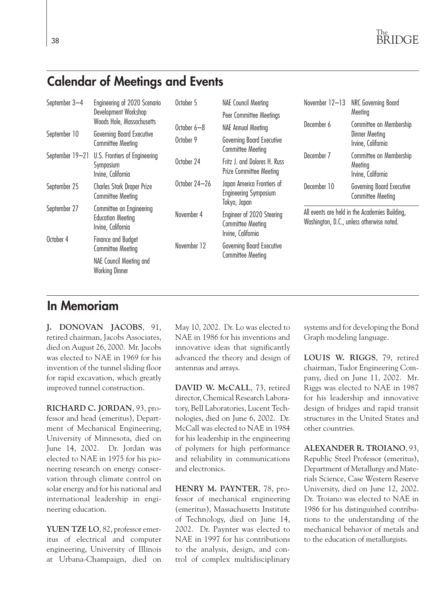## **Calendar of Meetings and Events**

| September 3-4   | Engineering of 2020 Scenario<br>Development Workshop                       | October 5     | <b>NAE Council Meeting</b><br>Peer Committee Meetings                       | November 12-13                                                                              | NRC Governing Board<br>Meeting                                  |  |
|-----------------|----------------------------------------------------------------------------|---------------|-----------------------------------------------------------------------------|---------------------------------------------------------------------------------------------|-----------------------------------------------------------------|--|
|                 | Woods Hole, Massachusetts                                                  | October 6-8   | December 6<br><b>NAE Annual Meeting</b>                                     |                                                                                             | Committee on Membership<br>Dinner Meeting<br>Irvine, California |  |
| September 10    | Governing Board Executive<br><b>Committee Meeting</b>                      | October 9     | Governing Board Executive<br><b>Committee Meeting</b>                       |                                                                                             |                                                                 |  |
| September 19-21 | U.S. Frontiers of Engineering<br>Symposium<br>Irvine, California           | October 24    | Fritz J. and Dolores H. Russ<br><b>Prize Committee Meeting</b>              | December 7                                                                                  | Committee on Membership<br>Meeting<br>Irvine, California        |  |
| September 25    | <b>Charles Stark Draper Prize</b><br><b>Committee Meeting</b>              | October 24-26 | Japan America Frontiers of<br><b>Engineering Symposium</b><br>Tokyo, Japan  | December 10                                                                                 | Governing Board Executive<br><b>Committee Meeting</b>           |  |
| September 27    | Committee on Engineering<br><b>Education Meeting</b><br>Irvine, California | November 4    | Engineer of 2020 Steering<br><b>Committee Meeting</b><br>Irvine, California | All events are held in the Academies Building,<br>Washington, D.C., unless otherwise noted. |                                                                 |  |
| October 4       | <b>Finance and Budget</b><br><b>Committee Meeting</b>                      | November 12   | Governing Board Executive<br><b>Committee Meeting</b>                       |                                                                                             |                                                                 |  |
|                 | NAE Council Meeting and<br><b>Working Dinner</b>                           |               |                                                                             |                                                                                             |                                                                 |  |

### **In Memoriam**

**J. DONOVAN JACOBS**, 91, retired chairman, Jacobs Associates, died on August 26, 2000. Mr. Jacobs was elected to NAE in 1969 for his invention of the tunnel sliding floor for rapid excavation, which greatly improved tunnel construction.

**RICHARD C. JORDAN**, 93, professor and head (emeritus), Department of Mechanical Engineering, University of Minnesota, died on June 14, 2002. Dr. Jordan was elected to NAE in 1975 for his pioneering research on energy conservation through climate control on solar energy and for his national and international leadership in engineering education.

**YUEN TZE LO**, 82, professor emeritus of electrical and computer engineering, University of Illinois at Urbana-Champaign, died on May 10, 2002. Dr. Lo was elected to NAE in 1986 for his inventions and innovative ideas that significantly advanced the theory and design of antennas and arrays.

**DAVID W. McCALL**, 73, retired director, Chemical Research Laboratory, Bell Laboratories, Lucent Technologies, died on June 6, 2002. Dr. McCall was elected to NAE in 1984 for his leadership in the engineering of polymers for high performance and reliability in communications and electronics.

**HENRY M. PAYNTER**, 78, professor of mechanical engineering (emeritus), Massachusetts Institute of Technology, died on June 14, 2002. Dr. Paynter was elected to NAE in 1997 for his contributions to the analysis, design, and control of complex multidisciplinary

systems and for developing the Bond Graph modeling language.

**LOUIS W. RIGGS**, 79, retired chairman, Tudor Engineering Company, died on June 11, 2002. Mr. Riggs was elected to NAE in 1987 for his leadership and innovative design of bridges and rapid transit structures in the United States and other countries.

**ALEXANDER R. TROIANO**, 93, Republic Steel Professor (emeritus), Department of Metallurgy and Materials Science, Case Western Reserve University, died on June 12, 2002. Dr. Troiano was elected to NAE in 1986 for his distinguished contributions to the understanding of the mechanical behavior of metals and to the education of metallurgists.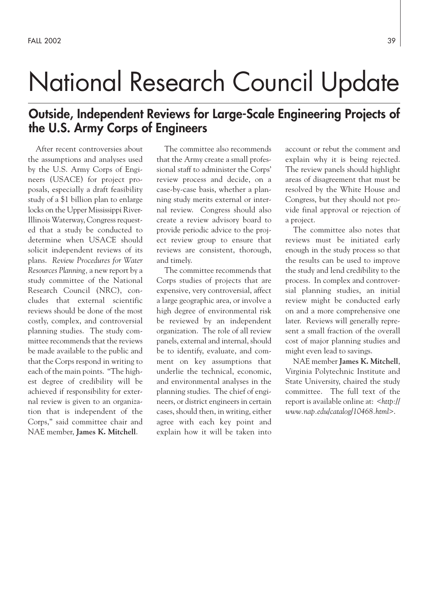## National Research Council Update

## **Outside, Independent Reviews for Large-Scale Engineering Projects of the U.S. Army Corps of Engineers**

After recent controversies about the assumptions and analyses used by the U.S. Army Corps of Engineers (USACE) for project proposals, especially a draft feasibility study of a \$1 billion plan to enlarge locks on the Upper Mississippi River-Illinois Waterway, Congress requested that a study be conducted to determine when USACE should solicit independent reviews of its plans. *Review Procedures for Water Resources Planning,* a new report by a study committee of the National Research Council (NRC), concludes that external scientific reviews should be done of the most costly, complex, and controversial planning studies. The study committee recommends that the reviews be made available to the public and that the Corps respond in writing to each of the main points. "The highest degree of credibility will be achieved if responsibility for external review is given to an organization that is independent of the Corps," said committee chair and NAE member, **James K. Mitchell**.

The committee also recommends that the Army create a small professional staff to administer the Corps' review process and decide, on a case-by-case basis, whether a planning study merits external or internal review. Congress should also create a review advisory board to provide periodic advice to the project review group to ensure that reviews are consistent, thorough, and timely.

The committee recommends that Corps studies of projects that are expensive, very controversial, affect a large geographic area, or involve a high degree of environmental risk be reviewed by an independent organization. The role of all review panels, external and internal, should be to identify, evaluate, and comment on key assumptions that underlie the technical, economic, and environmental analyses in the planning studies. The chief of engineers, or district engineers in certain cases, should then, in writing, either agree with each key point and explain how it will be taken into account or rebut the comment and explain why it is being rejected. The review panels should highlight areas of disagreement that must be resolved by the White House and Congress, but they should not provide final approval or rejection of a project.

The committee also notes that reviews must be initiated early enough in the study process so that the results can be used to improve the study and lend credibility to the process. In complex and controversial planning studies, an initial review might be conducted early on and a more comprehensive one later. Reviews will generally represent a small fraction of the overall cost of major planning studies and might even lead to savings.

NAE member **James K. Mitchell**, Virginia Polytechnic Institute and State University, chaired the study committee. The full text of the report is available online at: <*http:// www.nap.edu/catalog/10468.html*>.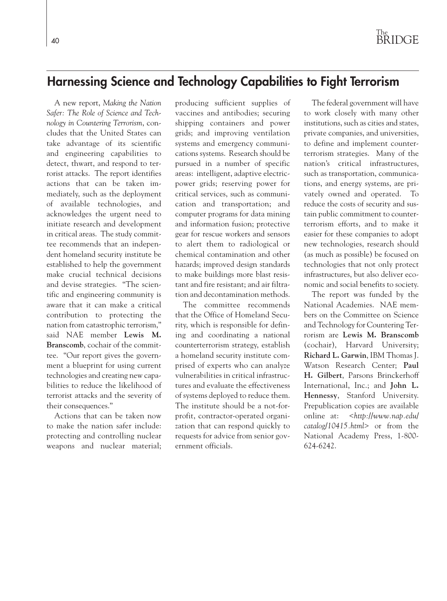## **Harnessing Science and Technology Capabilities to Fight Terrorism**

A new report, *Making the Nation Safer: The Role of Science and Technology in Countering Terrorism*, concludes that the United States can take advantage of its scientific and engineering capabilities to detect, thwart, and respond to terrorist attacks. The report identifies actions that can be taken immediately, such as the deployment of available technologies, and acknowledges the urgent need to initiate research and development in critical areas. The study committee recommends that an independent homeland security institute be established to help the government make crucial technical decisions and devise strategies. "The scientific and engineering community is aware that it can make a critical contribution to protecting the nation from catastrophic terrorism," said NAE member **Lewis M. Branscomb**, cochair of the committee. "Our report gives the government a blueprint for using current technologies and creating new capabilities to reduce the likelihood of terrorist attacks and the severity of their consequences."

Actions that can be taken now to make the nation safer include: protecting and controlling nuclear weapons and nuclear material;

producing sufficient supplies of vaccines and antibodies; securing shipping containers and power grids; and improving ventilation systems and emergency communications systems. Research should be pursued in a number of specific areas: intelligent, adaptive electricpower grids; reserving power for critical services, such as communication and transportation; and computer programs for data mining and information fusion; protective gear for rescue workers and sensors to alert them to radiological or chemical contamination and other hazards; improved design standards to make buildings more blast resistant and fire resistant; and air filtration and decontamination methods.

The committee recommends that the Office of Homeland Security, which is responsible for defining and coordinating a national counterterrorism strategy, establish a homeland security institute comprised of experts who can analyze vulnerabilities in critical infrastructures and evaluate the effectiveness of systems deployed to reduce them. The institute should be a not-forprofit, contractor-operated organization that can respond quickly to requests for advice from senior government officials.

The federal government will have to work closely with many other institutions, such as cities and states, private companies, and universities, to define and implement counterterrorism strategies. Many of the nation's critical infrastructures, such as transportation, communications, and energy systems, are privately owned and operated. To reduce the costs of security and sustain public commitment to counterterrorism efforts, and to make it easier for these companies to adopt new technologies, research should (as much as possible) be focused on technologies that not only protect infrastructures, but also deliver economic and social benefits to society.

The report was funded by the National Academies. NAE members on the Committee on Science and Technology for Countering Terrorism are **Lewis M. Branscomb** (cochair), Harvard University; **Richard L. Garwin**, IBM Thomas J. Watson Research Center; **Paul H. Gilbert**, Parsons Brinckerhoff International, Inc.; and **John L. Hennessy**, Stanford University. Prepublication copies are available online at: <*http://www.nap.edu/ catalog/10415.html*> or from the National Academy Press, 1-800- 624-6242.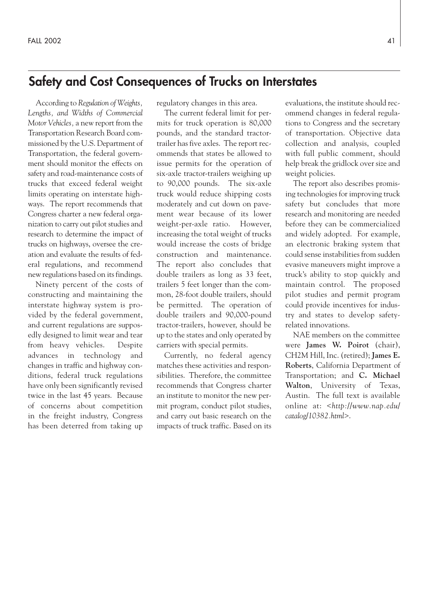### **Safety and Cost Consequences of Trucks on Interstates**

According to *Regulation of Weights, Lengths, and Widths of Commercial Motor Vehicles,* a new report from the Transportation Research Board commissioned by the U.S. Department of Transportation, the federal government should monitor the effects on safety and road-maintenance costs of trucks that exceed federal weight limits operating on interstate highways. The report recommends that Congress charter a new federal organization to carry out pilot studies and research to determine the impact of trucks on highways, oversee the creation and evaluate the results of federal regulations, and recommend new regulations based on its findings.

Ninety percent of the costs of constructing and maintaining the interstate highway system is provided by the federal government, and current regulations are supposedly designed to limit wear and tear from heavy vehicles. Despite advances in technology and changes in traffic and highway conditions, federal truck regulations have only been significantly revised twice in the last 45 years. Because of concerns about competition in the freight industry, Congress has been deterred from taking up regulatory changes in this area.

The current federal limit for permits for truck operation is 80,000 pounds, and the standard tractortrailer has five axles. The report recommends that states be allowed to issue permits for the operation of six-axle tractor-trailers weighing up to 90,000 pounds. The six-axle truck would reduce shipping costs moderately and cut down on pavement wear because of its lower weight-per-axle ratio. However, increasing the total weight of trucks would increase the costs of bridge construction and maintenance. The report also concludes that double trailers as long as 33 feet, trailers 5 feet longer than the common, 28-foot double trailers, should be permitted. The operation of double trailers and 90,000-pound tractor-trailers, however, should be up to the states and only operated by carriers with special permits.

Currently, no federal agency matches these activities and responsibilities. Therefore, the committee recommends that Congress charter an institute to monitor the new permit program, conduct pilot studies, and carry out basic research on the impacts of truck traffic. Based on its evaluations, the institute should recommend changes in federal regulations to Congress and the secretary of transportation. Objective data collection and analysis, coupled with full public comment, should help break the gridlock over size and weight policies.

The report also describes promising technologies for improving truck safety but concludes that more research and monitoring are needed before they can be commercialized and widely adopted. For example, an electronic braking system that could sense instabilities from sudden evasive maneuvers might improve a truck's ability to stop quickly and maintain control. The proposed pilot studies and permit program could provide incentives for industry and states to develop safetyrelated innovations.

NAE members on the committee were **James W. Poirot** (chair), CH2M Hill, Inc. (retired); **James E. Roberts**, California Department of Transportation; and **C. Michael Walton**, University of Texas, Austin. The full text is available online at: <*http://www.nap.edu/ catalog/10382.html*>.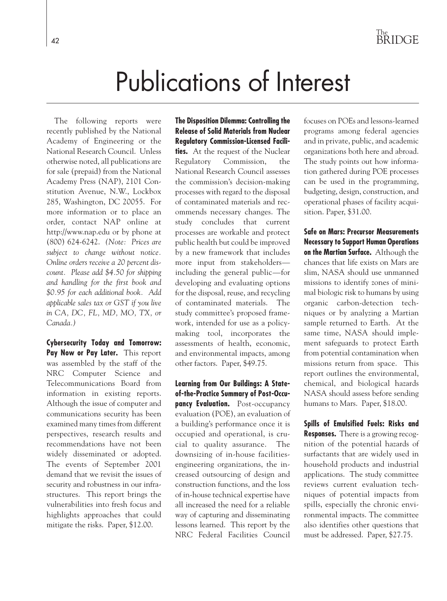## Publications of Interest

The following reports were recently published by the National Academy of Engineering or the National Research Council. Unless otherwise noted, all publications are for sale (prepaid) from the National Academy Press (NAP), 2101 Constitution Avenue, N.W., Lockbox 285, Washington, DC 20055. For more information or to place an order, contact NAP online at http://www.nap.edu or by phone at (800) 624-6242. *(Note: Prices are subject to change without notice. Online orders receive a 20 percent discount. Please add \$4.50 for shipping and handling for the first book and \$0.95 for each additional book. Add applicable sales tax or GST if you live in CA, DC, FL, MD, MO, TX, or Canada.)*

**Cybersecurity Today and Tomorrow:** Pay Now or Pay Later. This report was assembled by the staff of the NRC Computer Science and Telecommunications Board from information in existing reports. Although the issue of computer and communications security has been examined many times from different perspectives, research results and recommendations have not been widely disseminated or adopted. The events of September 2001 demand that we revisit the issues of security and robustness in our infrastructures. This report brings the vulnerabilities into fresh focus and highlights approaches that could mitigate the risks. Paper, \$12.00.

### **The Disposition Dilemma: Controlling the Release of Solid Materials from Nuclear Regulatory Commission-Licensed Facili-**

**ties.** At the request of the Nuclear Regulatory Commission, the National Research Council assesses the commission's decision-making processes with regard to the disposal of contaminated materials and recommends necessary changes. The study concludes that current processes are workable and protect public health but could be improved by a new framework that includes more input from stakeholders including the general public—for developing and evaluating options for the disposal, reuse, and recycling of contaminated materials. The study committee's proposed framework, intended for use as a policymaking tool, incorporates the assessments of health, economic, and environmental impacts, among other factors. Paper, \$49.75.

**Learning from Our Buildings: A Stateof-the-Practice Summary of Post-Occupancy Evaluation.** Post-occupancy evaluation (POE), an evaluation of a building's performance once it is occupied and operational, is crucial to quality assurance. The downsizing of in-house facilitiesengineering organizations, the increased outsourcing of design and construction functions, and the loss of in-house technical expertise have all increased the need for a reliable way of capturing and disseminating lessons learned. This report by the NRC Federal Facilities Council

focuses on POEs and lessons-learned programs among federal agencies and in private, public, and academic organizations both here and abroad. The study points out how information gathered during POE processes can be used in the programming, budgeting, design, construction, and operational phases of facility acquisition. Paper, \$31.00.

**Safe on Mars: Precursor Measurements Necessary to Support Human Operations on the Martian Surface.** Although the chances that life exists on Mars are slim, NASA should use unmanned missions to identify zones of minimal biologic risk to humans by using organic carbon-detection techniques or by analyzing a Martian sample returned to Earth. At the same time, NASA should implement safeguards to protect Earth from potential contamination when missions return from space. This report outlines the environmental, chemical, and biological hazards NASA should assess before sending humans to Mars. Paper, \$18.00.

**Spills of Emulsified Fuels: Risks and Responses.** There is a growing recognition of the potential hazards of surfactants that are widely used in household products and industrial applications. The study committee reviews current evaluation techniques of potential impacts from spills, especially the chronic environmental impacts. The committee also identifies other questions that must be addressed. Paper, \$27.75.